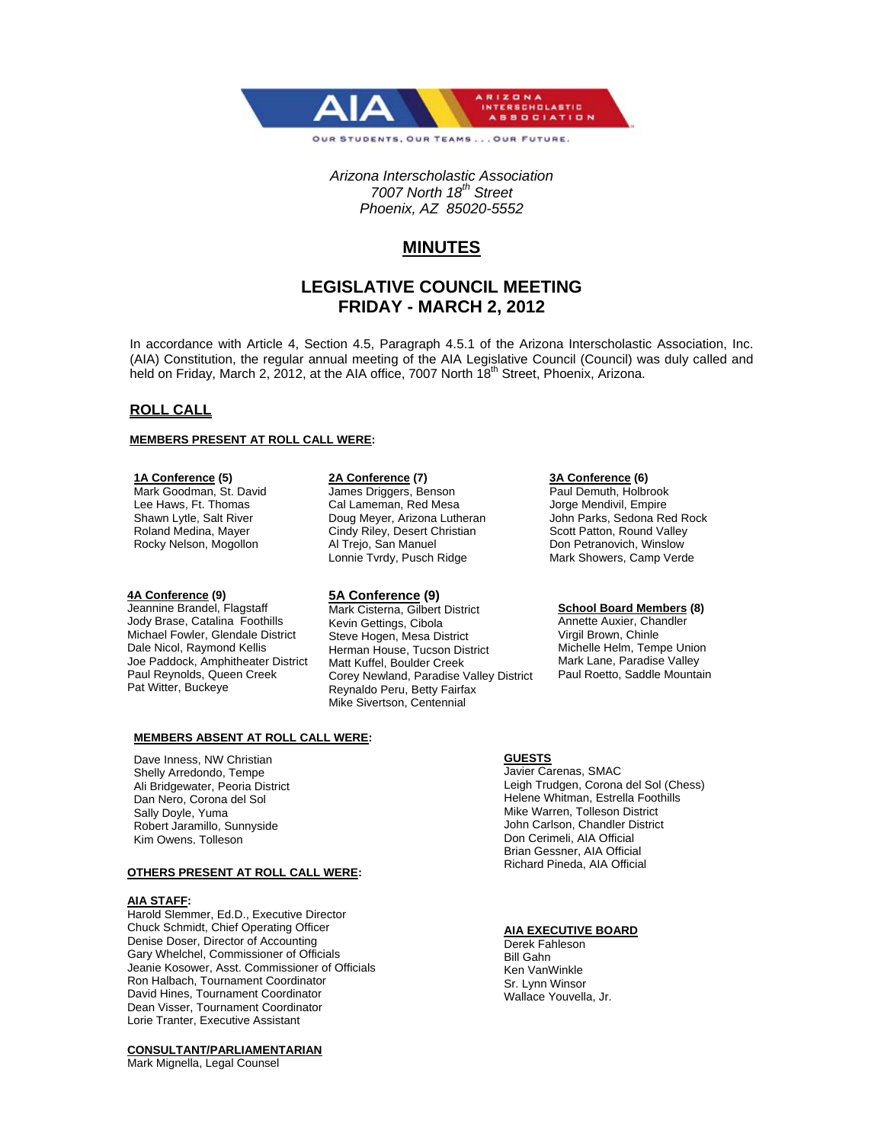

*Arizona Interscholastic Association 7007 North 18th Street Phoenix, AZ 85020-5552* 

# **MINUTES**

# **LEGISLATIVE COUNCIL MEETING FRIDAY - MARCH 2, 2012**

In accordance with Article 4, Section 4.5, Paragraph 4.5.1 of the Arizona Interscholastic Association, Inc. (AIA) Constitution, the regular annual meeting of the AIA Legislative Council (Council) was duly called and held on Friday, March 2, 2012, at the AIA office, 7007 North 18<sup>th</sup> Street, Phoenix, Arizona.

## **ROLL CALL**

#### **MEMBERS PRESENT AT ROLL CALL WERE:**

#### **1A Conference (5)**

Mark Goodman, St. David Lee Haws, Ft. Thomas Shawn Lytle, Salt River Roland Medina, Mayer Rocky Nelson, Mogollon

#### **4A Conference (9)**

Jeannine Brandel, Flagstaff Jody Brase, Catalina Foothills Michael Fowler, Glendale District Dale Nicol, Raymond Kellis Joe Paddock, Amphitheater District Paul Reynolds, Queen Creek Pat Witter, Buckeye

#### **2A Conference (7)**

James Driggers, Benson Cal Lameman, Red Mesa Doug Meyer, Arizona Lutheran Cindy Riley, Desert Christian Al Trejo, San Manuel Lonnie Tvrdy, Pusch Ridge

## **5A Conference (9)**

Mark Cisterna, Gilbert District Kevin Gettings, Cibola Steve Hogen, Mesa District Herman House, Tucson District Matt Kuffel, Boulder Creek Corey Newland, Paradise Valley District Reynaldo Peru, Betty Fairfax Mike Sivertson, Centennial

#### **3A Conference (6)**

Paul Demuth, Holbrook Jorge Mendivil, Empire John Parks, Sedona Red Rock Scott Patton, Round Valley Don Petranovich, Winslow Mark Showers, Camp Verde

#### **School Board Members (8)**

Annette Auxier, Chandler Virgil Brown, Chinle Michelle Helm, Tempe Union Mark Lane, Paradise Valley Paul Roetto, Saddle Mountain

#### **MEMBERS ABSENT AT ROLL CALL WERE:**

Dave Inness, NW Christian Shelly Arredondo, Tempe Ali Bridgewater, Peoria District Dan Nero, Corona del Sol Sally Doyle, Yuma Robert Jaramillo, Sunnyside Kim Owens, Tolleson

#### **OTHERS PRESENT AT ROLL CALL WERE:**

#### **AIA STAFF:**

Harold Slemmer, Ed.D., Executive Director Chuck Schmidt, Chief Operating Officer Denise Doser, Director of Accounting Gary Whelchel, Commissioner of Officials Jeanie Kosower, Asst. Commissioner of Officials Ron Halbach, Tournament Coordinator David Hines, Tournament Coordinator Dean Visser, Tournament Coordinator Lorie Tranter, Executive Assistant

#### **CONSULTANT/PARLIAMENTARIAN**

Mark Mignella, Legal Counsel

#### **GUESTS**

Javier Carenas, SMAC Leigh Trudgen, Corona del Sol (Chess) Helene Whitman, Estrella Foothills Mike Warren, Tolleson District John Carlson, Chandler District Don Cerimeli, AIA Official Brian Gessner, AIA Official Richard Pineda, AIA Official

## **AIA EXECUTIVE BOARD**

Derek Fahleson Bill Gahn Ken VanWinkle Sr. Lynn Winsor Wallace Youvella, Jr.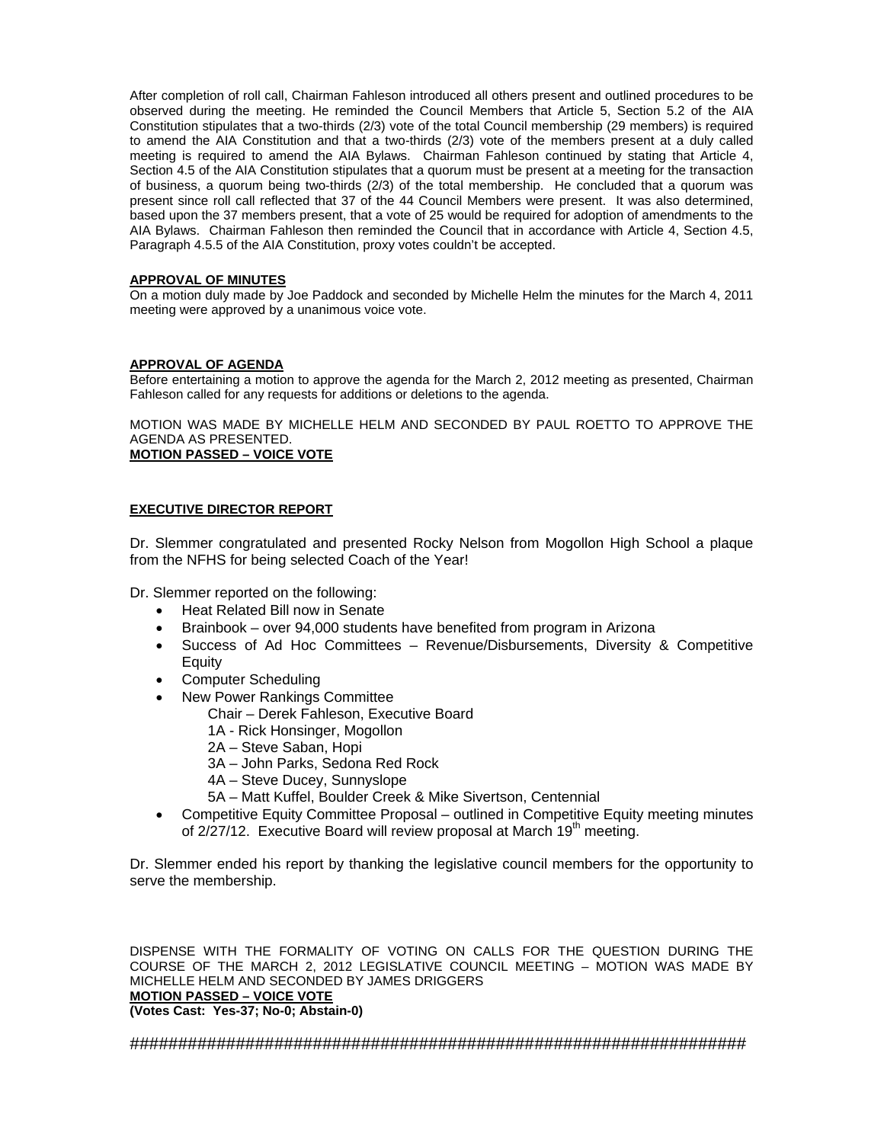After completion of roll call, Chairman Fahleson introduced all others present and outlined procedures to be observed during the meeting. He reminded the Council Members that Article 5, Section 5.2 of the AIA Constitution stipulates that a two-thirds (2/3) vote of the total Council membership (29 members) is required to amend the AIA Constitution and that a two-thirds (2/3) vote of the members present at a duly called meeting is required to amend the AIA Bylaws. Chairman Fahleson continued by stating that Article 4, Section 4.5 of the AIA Constitution stipulates that a quorum must be present at a meeting for the transaction of business, a quorum being two-thirds (2/3) of the total membership. He concluded that a quorum was present since roll call reflected that 37 of the 44 Council Members were present. It was also determined, based upon the 37 members present, that a vote of 25 would be required for adoption of amendments to the AIA Bylaws. Chairman Fahleson then reminded the Council that in accordance with Article 4, Section 4.5, Paragraph 4.5.5 of the AIA Constitution, proxy votes couldn't be accepted.

## **APPROVAL OF MINUTES**

On a motion duly made by Joe Paddock and seconded by Michelle Helm the minutes for the March 4, 2011 meeting were approved by a unanimous voice vote.

## **APPROVAL OF AGENDA**

Before entertaining a motion to approve the agenda for the March 2, 2012 meeting as presented, Chairman Fahleson called for any requests for additions or deletions to the agenda.

MOTION WAS MADE BY MICHELLE HELM AND SECONDED BY PAUL ROETTO TO APPROVE THE AGENDA AS PRESENTED.

# **MOTION PASSED – VOICE VOTE**

## **EXECUTIVE DIRECTOR REPORT**

Dr. Slemmer congratulated and presented Rocky Nelson from Mogollon High School a plaque from the NFHS for being selected Coach of the Year!

Dr. Slemmer reported on the following:

- Heat Related Bill now in Senate
- Brainbook over 94,000 students have benefited from program in Arizona
- Success of Ad Hoc Committees Revenue/Disbursements, Diversity & Competitive Equity
- Computer Scheduling
- New Power Rankings Committee
	- Chair Derek Fahleson, Executive Board
		- 1A Rick Honsinger, Mogollon
		- 2A Steve Saban, Hopi
		- 3A John Parks, Sedona Red Rock
		- 4A Steve Ducey, Sunnyslope
		- 5A Matt Kuffel, Boulder Creek & Mike Sivertson, Centennial
- Competitive Equity Committee Proposal outlined in Competitive Equity meeting minutes of 2/27/12. Executive Board will review proposal at March 19<sup>th</sup> meeting.

Dr. Slemmer ended his report by thanking the legislative council members for the opportunity to serve the membership.

DISPENSE WITH THE FORMALITY OF VOTING ON CALLS FOR THE QUESTION DURING THE COURSE OF THE MARCH 2, 2012 LEGISLATIVE COUNCIL MEETING – MOTION WAS MADE BY MICHELLE HELM AND SECONDED BY JAMES DRIGGERS **MOTION PASSED – VOICE VOTE (Votes Cast: Yes-37; No-0; Abstain-0)**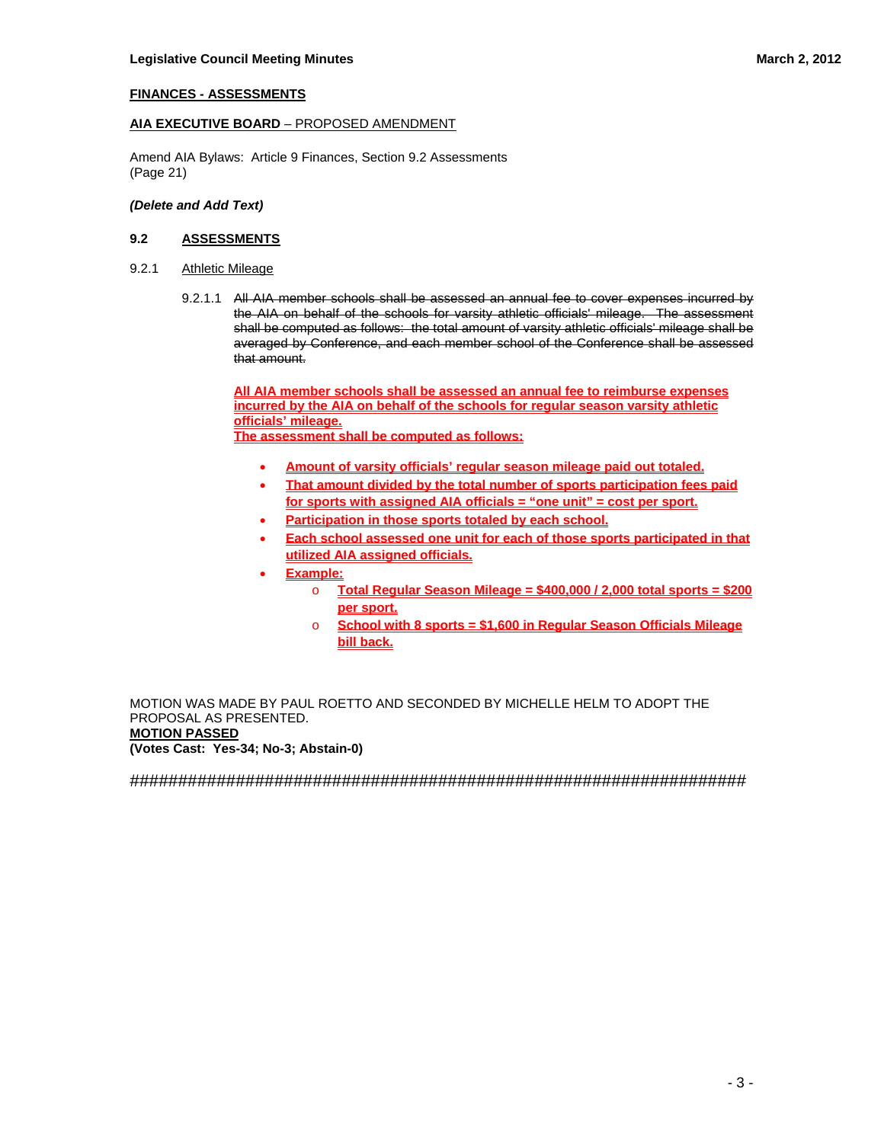## **FINANCES - ASSESSMENTS**

## **AIA EXECUTIVE BOARD** – PROPOSED AMENDMENT

Amend AIA Bylaws: Article 9 Finances, Section 9.2 Assessments (Page 21)

## *(Delete and Add Text)*

#### **9.2 ASSESSMENTS**

- 9.2.1 Athletic Mileage
	- 9.2.1.1 All AIA member schools shall be assessed an annual fee to cover expenses incurred by the AIA on behalf of the schools for varsity athletic officials' mileage. The assessment shall be computed as follows: the total amount of varsity athletic officials' mileage shall be averaged by Conference, and each member school of the Conference shall be assessed that amount.

**All AIA member schools shall be assessed an annual fee to reimburse expenses incurred by the AIA on behalf of the schools for regular season varsity athletic officials' mileage.** 

**The assessment shall be computed as follows:**

- **Amount of varsity officials' regular season mileage paid out totaled.**
- **That amount divided by the total number of sports participation fees paid for sports with assigned AIA officials = "one unit" = cost per sport.**
- **Participation in those sports totaled by each school.**
- **Each school assessed one unit for each of those sports participated in that utilized AIA assigned officials.**
- **Example:**
	- o **Total Regular Season Mileage = \$400,000 / 2,000 total sports = \$200 per sport.**
	- o **School with 8 sports = \$1,600 in Regular Season Officials Mileage bill back.**

MOTION WAS MADE BY PAUL ROETTO AND SECONDED BY MICHELLE HELM TO ADOPT THE PROPOSAL AS PRESENTED. **MOTION PASSED** 

**(Votes Cast: Yes-34; No-3; Abstain-0)**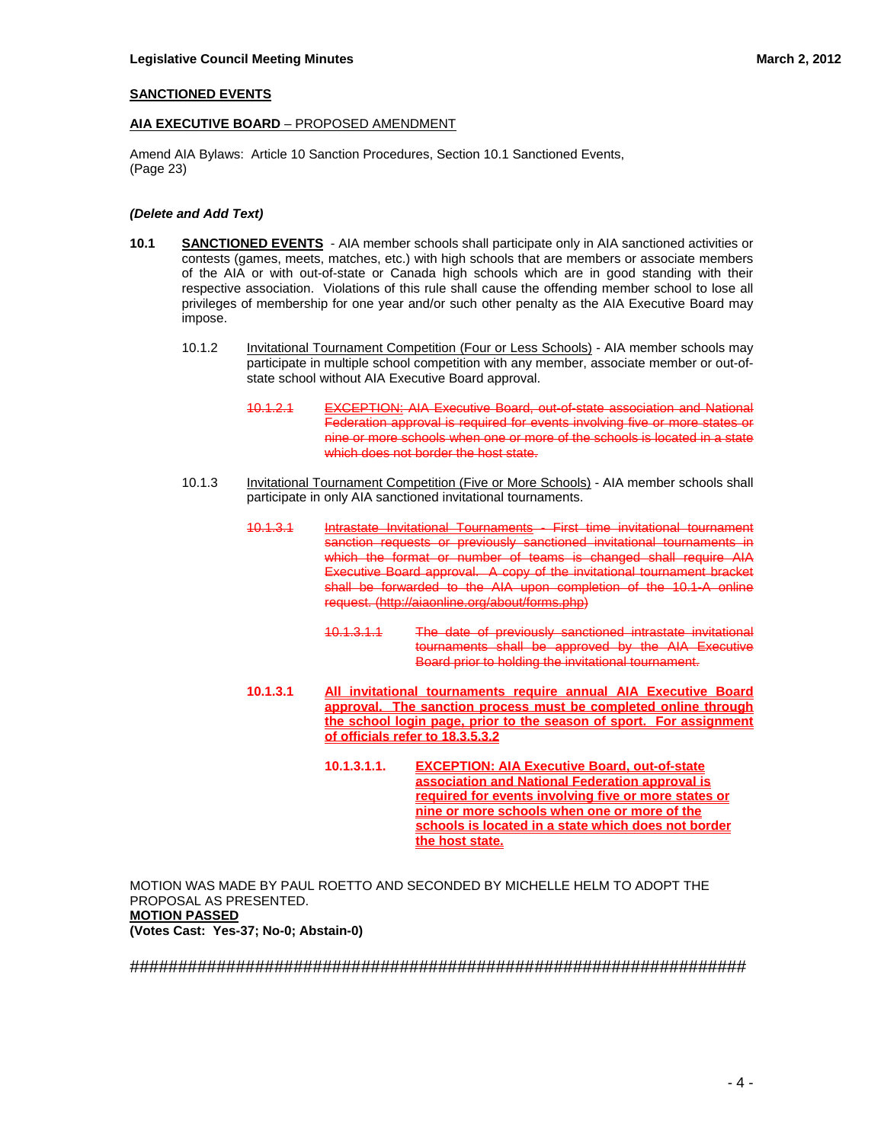## **SANCTIONED EVENTS**

## **AIA EXECUTIVE BOARD** – PROPOSED AMENDMENT

Amend AIA Bylaws: Article 10 Sanction Procedures, Section 10.1 Sanctioned Events, (Page 23)

## *(Delete and Add Text)*

- **10.1 SANCTIONED EVENTS** AIA member schools shall participate only in AIA sanctioned activities or contests (games, meets, matches, etc.) with high schools that are members or associate members of the AIA or with out-of-state or Canada high schools which are in good standing with their respective association. Violations of this rule shall cause the offending member school to lose all privileges of membership for one year and/or such other penalty as the AIA Executive Board may impose.
	- 10.1.2 Invitational Tournament Competition (Four or Less Schools) AIA member schools may participate in multiple school competition with any member, associate member or out-ofstate school without AIA Executive Board approval.
		- 10.1.2.1 EXCEPTION: AIA Executive Board, out-of-state association and National **Federation approval is required for events involving five or more states or** nine or more schools when one or more of the schools is located in a state which does not border the host state.
	- 10.1.3 Invitational Tournament Competition (Five or More Schools) AIA member schools shall participate in only AIA sanctioned invitational tournaments.
		- 10.1.3.1 Intrastate Invitational Tournaments First time invitational tournament sanction requests or previously sanctioned invitational tournaments in which the format or number of teams is changed shall require AIA Executive Board approval. A copy of the invitational tournament bracket shall be forwarded to the AIA upon completion of the 10.1-A online request. (http://aiaonline.org/about/forms.php)
			- 10.1.3.1.1 The date of previously sanctioned intrastate invitational tournaments shall be approved by the AIA Executive Board prior to holding the invitational tournament.
		- **10.1.3.1 All invitational tournaments require annual AIA Executive Board approval. The sanction process must be completed online through the school login page, prior to the season of sport. For assignment of officials refer to 18.3.5.3.2**
			- **10.1.3.1.1. EXCEPTION: AIA Executive Board, out-of-state association and National Federation approval is required for events involving five or more states or nine or more schools when one or more of the schools is located in a state which does not border the host state.**

MOTION WAS MADE BY PAUL ROETTO AND SECONDED BY MICHELLE HELM TO ADOPT THE PROPOSAL AS PRESENTED. **MOTION PASSED (Votes Cast: Yes-37; No-0; Abstain-0)**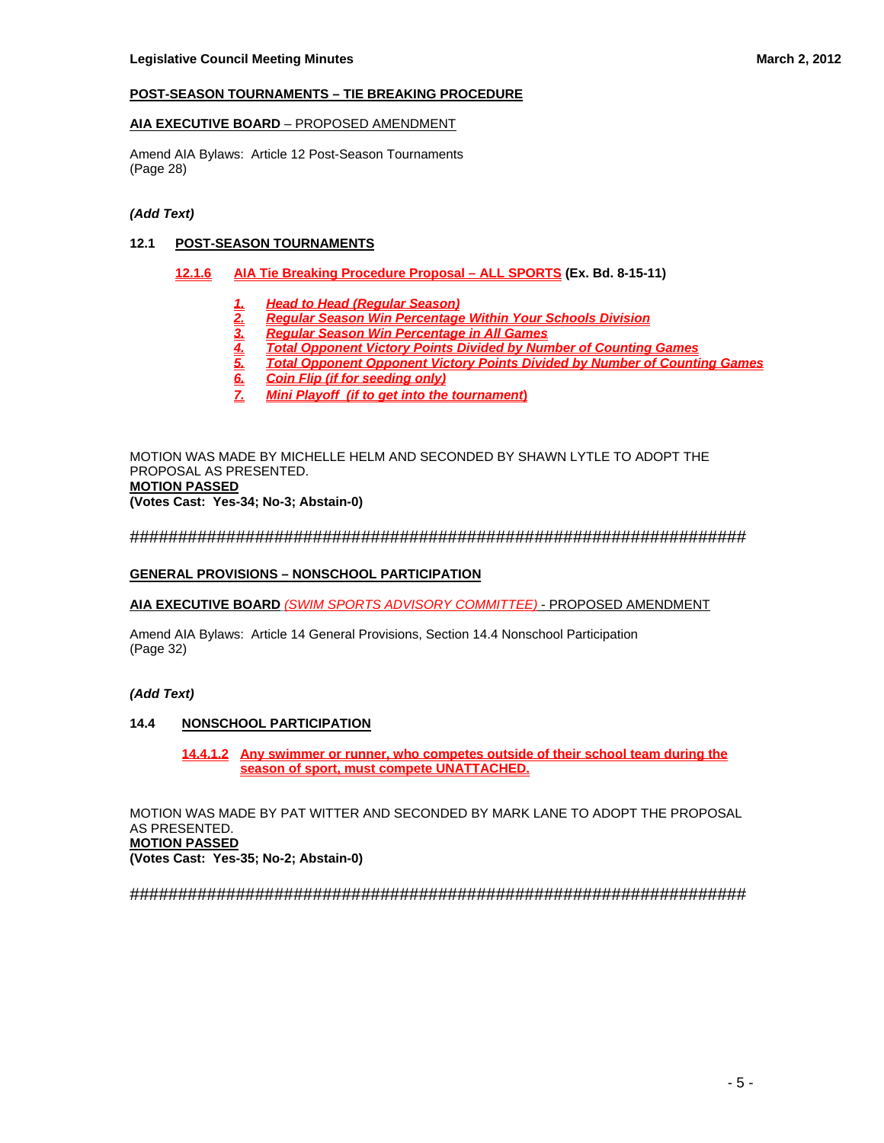## **POST-SEASON TOURNAMENTS – TIE BREAKING PROCEDURE**

## **AIA EXECUTIVE BOARD** – PROPOSED AMENDMENT

Amend AIA Bylaws: Article 12 Post-Season Tournaments (Page 28)

## *(Add Text)*

## **12.1 POST-SEASON TOURNAMENTS**

- **12.1.6 AIA Tie Breaking Procedure Proposal ALL SPORTS (Ex. Bd. 8-15-11)**
	-
	- *2. Regular Season Win Percentage Within Your Schools Division*
	- *1. Head to Head (Regular Season)*
	- *4. Total Opponent Victory Points Divided by Number of Counting Games*
	- *3. Regular Season Win Percentage in All Games 5. Total Opponent Opponent Victory Points Divided by Number of Counting Games*
	- *6. Coin Flip (if for seeding only)*
	- *7. Mini Playoff (if to get into the tournament***)**

MOTION WAS MADE BY MICHELLE HELM AND SECONDED BY SHAWN LYTLE TO ADOPT THE PROPOSAL AS PRESENTED. **MOTION PASSED (Votes Cast: Yes-34; No-3; Abstain-0)** 

################################################################

#### **GENERAL PROVISIONS – NONSCHOOL PARTICIPATION**

**AIA EXECUTIVE BOARD** *(SWIM SPORTS ADVISORY COMMITTEE)* - PROPOSED AMENDMENT

Amend AIA Bylaws: Article 14 General Provisions, Section 14.4 Nonschool Participation (Page 32)

## *(Add Text)*

#### **14.4 NONSCHOOL PARTICIPATION**

**14.4.1.2 Any swimmer or runner, who competes outside of their school team during the season of sport, must compete UNATTACHED.**

MOTION WAS MADE BY PAT WITTER AND SECONDED BY MARK LANE TO ADOPT THE PROPOSAL AS PRESENTED. **MOTION PASSED (Votes Cast: Yes-35; No-2; Abstain-0)**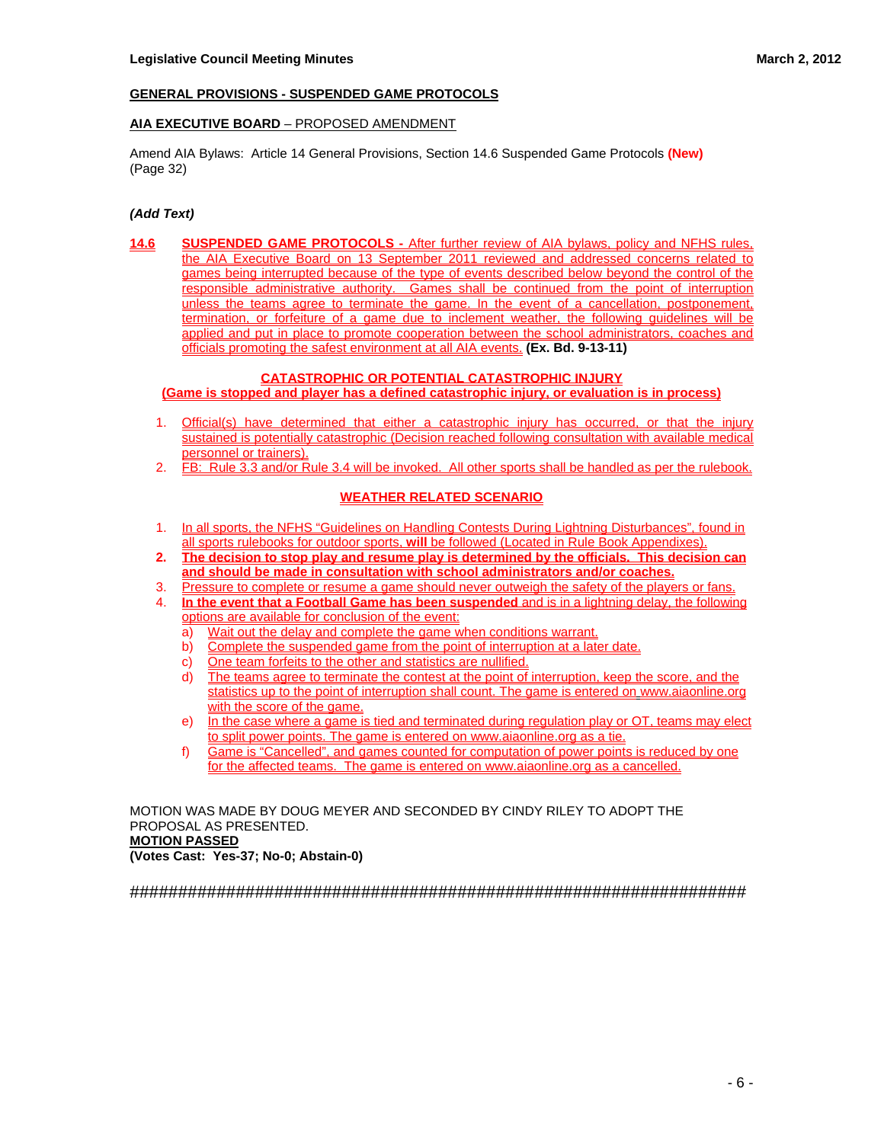## **GENERAL PROVISIONS - SUSPENDED GAME PROTOCOLS**

## **AIA EXECUTIVE BOARD** – PROPOSED AMENDMENT

Amend AIA Bylaws: Article 14 General Provisions, Section 14.6 Suspended Game Protocols **(New)** (Page 32)

## *(Add Text)*

**14.6 SUSPENDED GAME PROTOCOLS -** After further review of AIA bylaws, policy and NFHS rules, the AIA Executive Board on 13 September 2011 reviewed and addressed concerns related to games being interrupted because of the type of events described below beyond the control of the responsible administrative authority. Games shall be continued from the point of interruption unless the teams agree to terminate the game. In the event of a cancellation, postponement, termination, or forfeiture of a game due to inclement weather, the following guidelines will be applied and put in place to promote cooperation between the school administrators, coaches and officials promoting the safest environment at all AIA events. **(Ex. Bd. 9-13-11)**

#### **CATASTROPHIC OR POTENTIAL CATASTROPHIC INJURY (Game is stopped and player has a defined catastrophic injury, or evaluation is in process)**

- 1. Official(s) have determined that either a catastrophic injury has occurred, or that the injury sustained is potentially catastrophic (Decision reached following consultation with available medical personnel or trainers).
- 2. FB: Rule 3.3 and/or Rule 3.4 will be invoked. All other sports shall be handled as per the rulebook.

## **WEATHER RELATED SCENARIO**

- 1. In all sports, the NFHS "Guidelines on Handling Contests During Lightning Disturbances", found in all sports rulebooks for outdoor sports, **will** be followed (Located in Rule Book Appendixes).
- **2. The decision to stop play and resume play is determined by the officials. This decision can and should be made in consultation with school administrators and/or coaches.**
- 3. Pressure to complete or resume a game should never outweigh the safety of the players or fans.
- 4. **In the event that a Football Game has been suspended** and is in a lightning delay, the following options are available for conclusion of the event:
	- a) Wait out the delay and complete the game when conditions warrant.
	- b) Complete the suspended game from the point of interruption at a later date.
	- c) One team forfeits to the other and statistics are nullified.
	- d) The teams agree to terminate the contest at the point of interruption, keep the score, and the statistics up to the point of interruption shall count. The game is entered on www.aiaonline.org with the score of the game.
	- e) In the case where a game is tied and terminated during regulation play or OT, teams may elect to split power points. The game is entered on www.aiaonline.org as a tie.
	- f) Game is "Cancelled", and games counted for computation of power points is reduced by one for the affected teams. The game is entered on www.aiaonline.org as a cancelled.

MOTION WAS MADE BY DOUG MEYER AND SECONDED BY CINDY RILEY TO ADOPT THE PROPOSAL AS PRESENTED. **MOTION PASSED** 

**(Votes Cast: Yes-37; No-0; Abstain-0)**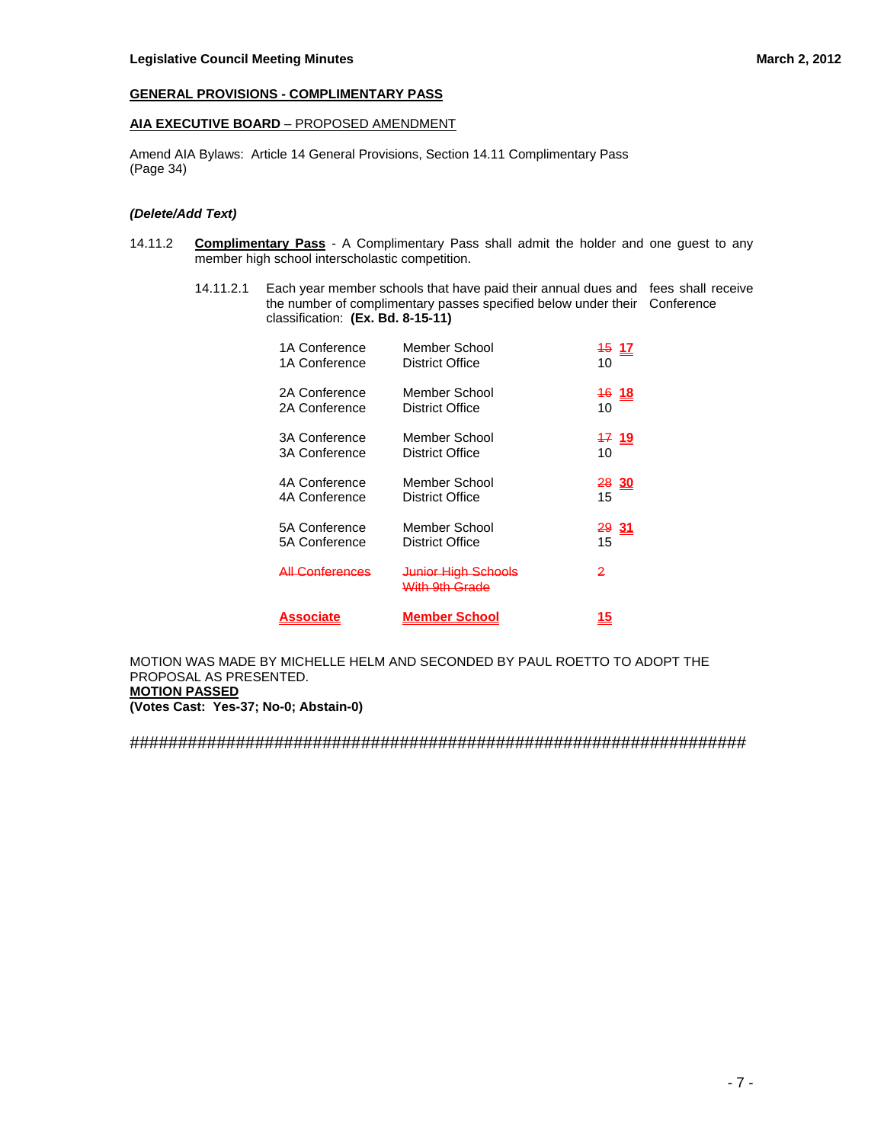## **GENERAL PROVISIONS - COMPLIMENTARY PASS**

## **AIA EXECUTIVE BOARD** – PROPOSED AMENDMENT

Amend AIA Bylaws: Article 14 General Provisions, Section 14.11 Complimentary Pass (Page 34)

### *(Delete/Add Text)*

- 14.11.2 **Complimentary Pass** A Complimentary Pass shall admit the holder and one guest to any member high school interscholastic competition.
	- 14.11.2.1 Each year member schools that have paid their annual dues and fees shall receive the number of complimentary passes specified below under their Conference classification: **(Ex. Bd. 8-15-11)**

| Associate                  | <b>Member School</b> | <u> 15</u>      |
|----------------------------|----------------------|-----------------|
| <del>All Conferences</del> |                      | 2               |
| 5A Conference              | Member School        | 2931            |
| 5A Conference              | District Office      | 15              |
| 4A Conference              | Member School        | 28 30           |
| 4A Conference              | District Office      | 15              |
| <b>3A Conference</b>       | Member School        | <u>17 19</u>    |
| <b>3A Conference</b>       | District Office      | 10              |
| 2A Conference              | Member School        | <u>16 18</u>    |
| 2A Conference              | District Office      | 10              |
| 1A Conference              | Member School        | $\frac{45}{11}$ |
| 1A Conference              | District Office      | 10              |

MOTION WAS MADE BY MICHELLE HELM AND SECONDED BY PAUL ROETTO TO ADOPT THE PROPOSAL AS PRESENTED. **MOTION PASSED** 

**(Votes Cast: Yes-37; No-0; Abstain-0)**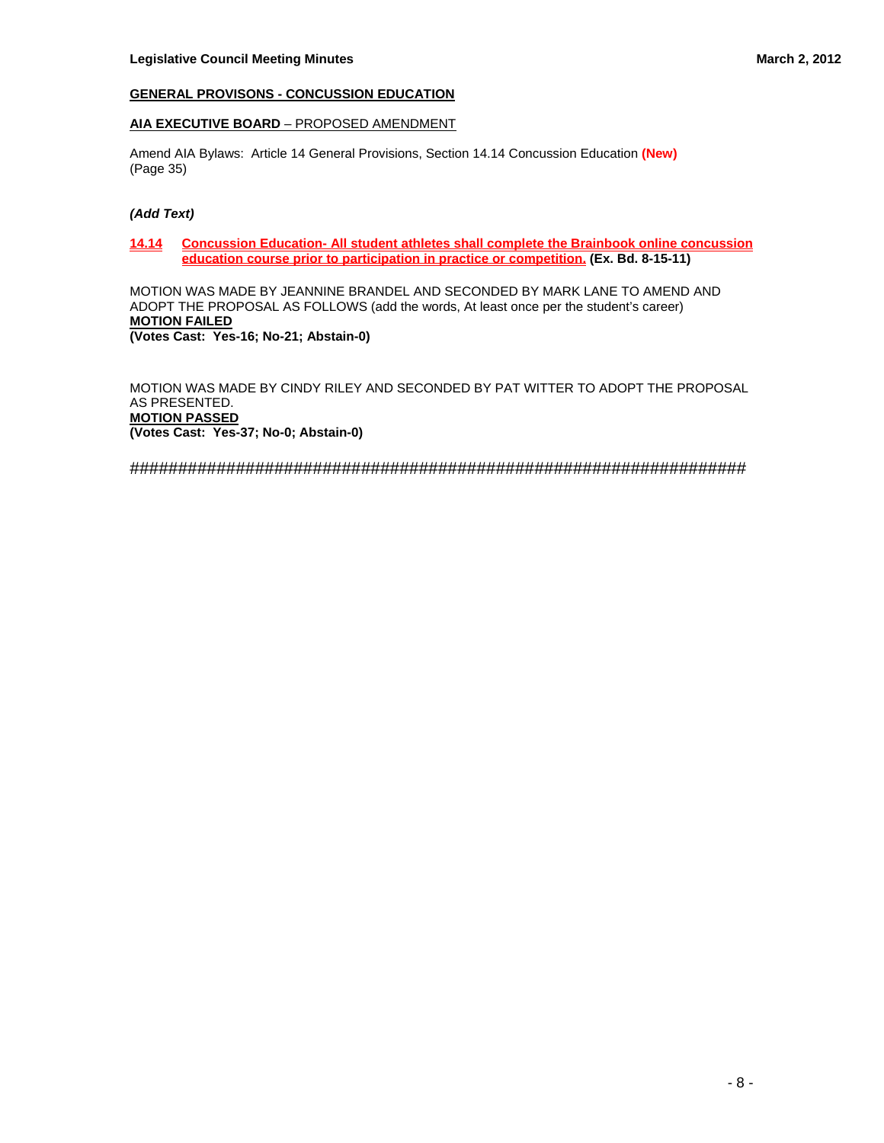## **GENERAL PROVISONS - CONCUSSION EDUCATION**

### **AIA EXECUTIVE BOARD** – PROPOSED AMENDMENT

Amend AIA Bylaws: Article 14 General Provisions, Section 14.14 Concussion Education **(New)** (Page 35)

#### *(Add Text)*

## **14.14 Concussion Education- All student athletes shall complete the Brainbook online concussion education course prior to participation in practice or competition. (Ex. Bd. 8-15-11)**

MOTION WAS MADE BY JEANNINE BRANDEL AND SECONDED BY MARK LANE TO AMEND AND ADOPT THE PROPOSAL AS FOLLOWS (add the words, At least once per the student's career) **MOTION FAILED (Votes Cast: Yes-16; No-21; Abstain-0)** 

MOTION WAS MADE BY CINDY RILEY AND SECONDED BY PAT WITTER TO ADOPT THE PROPOSAL AS PRESENTED. **MOTION PASSED (Votes Cast: Yes-37; No-0; Abstain-0)**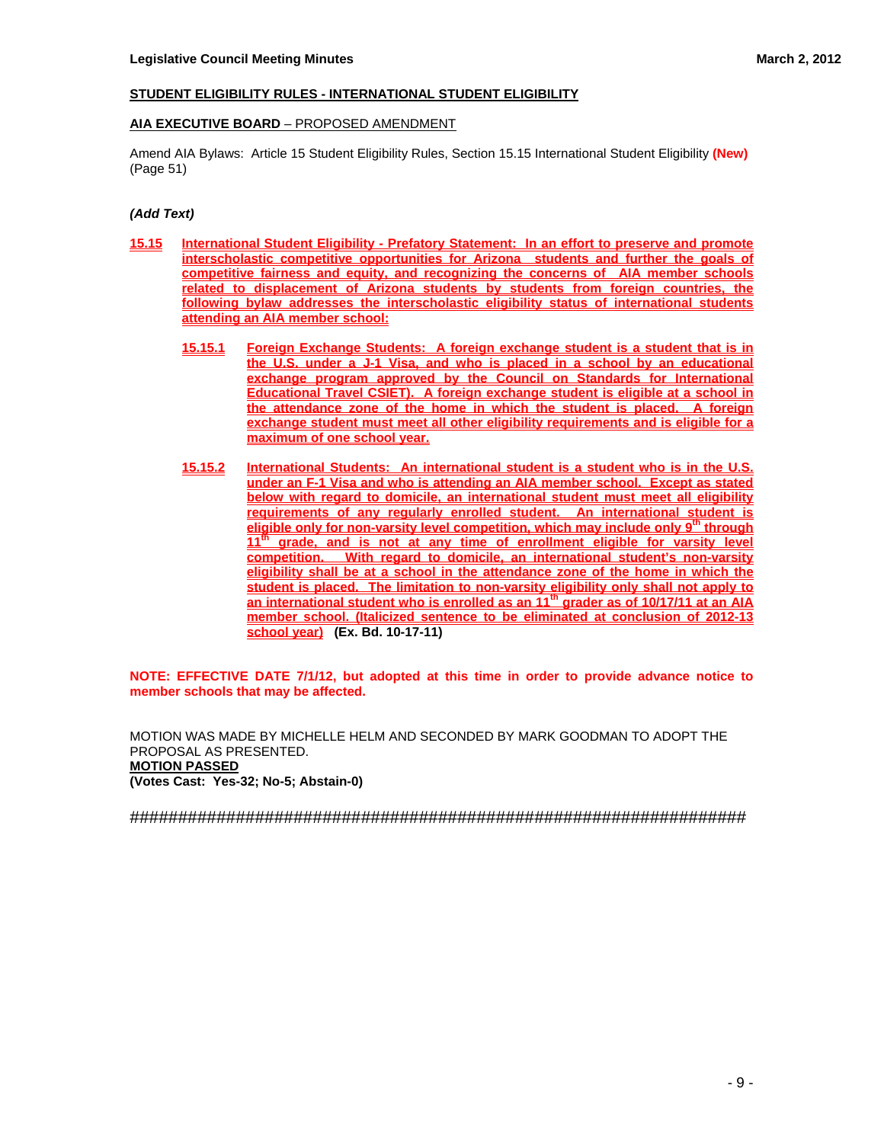## **STUDENT ELIGIBILITY RULES - INTERNATIONAL STUDENT ELIGIBILITY**

## **AIA EXECUTIVE BOARD** – PROPOSED AMENDMENT

Amend AIA Bylaws: Article 15 Student Eligibility Rules, Section 15.15 International Student Eligibility **(New)** (Page 51)

## *(Add Text)*

- **15.15 International Student Eligibility Prefatory Statement: In an effort to preserve and promote interscholastic competitive opportunities for Arizona students and further the goals of competitive fairness and equity, and recognizing the concerns of AIA member schools related to displacement of Arizona students by students from foreign countries, the following bylaw addresses the interscholastic eligibility status of international students attending an AIA member school:**
	- **15.15.1 Foreign Exchange Students: A foreign exchange student is a student that is in the U.S. under a J-1 Visa, and who is placed in a school by an educational exchange program approved by the Council on Standards for International Educational Travel CSIET). A foreign exchange student is eligible at a school in the attendance zone of the home in which the student is placed. A foreign exchange student must meet all other eligibility requirements and is eligible for a maximum of one school year.**
	- **15.15.2 International Students: An international student is a student who is in the U.S. under an F-1 Visa and who is attending an AIA member school. Except as stated below with regard to domicile, an international student must meet all eligibility requirements of any regularly enrolled student. An international student is eligible only for non-varsity level competition, which may include only 9th through**  11<sup>th</sup> grade, and is not at any time of enrollment eligible for varsity level **competition. With regard to domicile, an international student's non-varsity eligibility shall be at a school in the attendance zone of the home in which the student is placed. The limitation to non-varsity eligibility only shall not apply to**  an international student who is enrolled as an 11<sup>th</sup> grader as of 10/17/11 at an AIA **member school. (Italicized sentence to be eliminated at conclusion of 2012-13 school year) (Ex. Bd. 10-17-11)**

**NOTE: EFFECTIVE DATE 7/1/12, but adopted at this time in order to provide advance notice to member schools that may be affected.**

MOTION WAS MADE BY MICHELLE HELM AND SECONDED BY MARK GOODMAN TO ADOPT THE PROPOSAL AS PRESENTED. **MOTION PASSED (Votes Cast: Yes-32; No-5; Abstain-0)**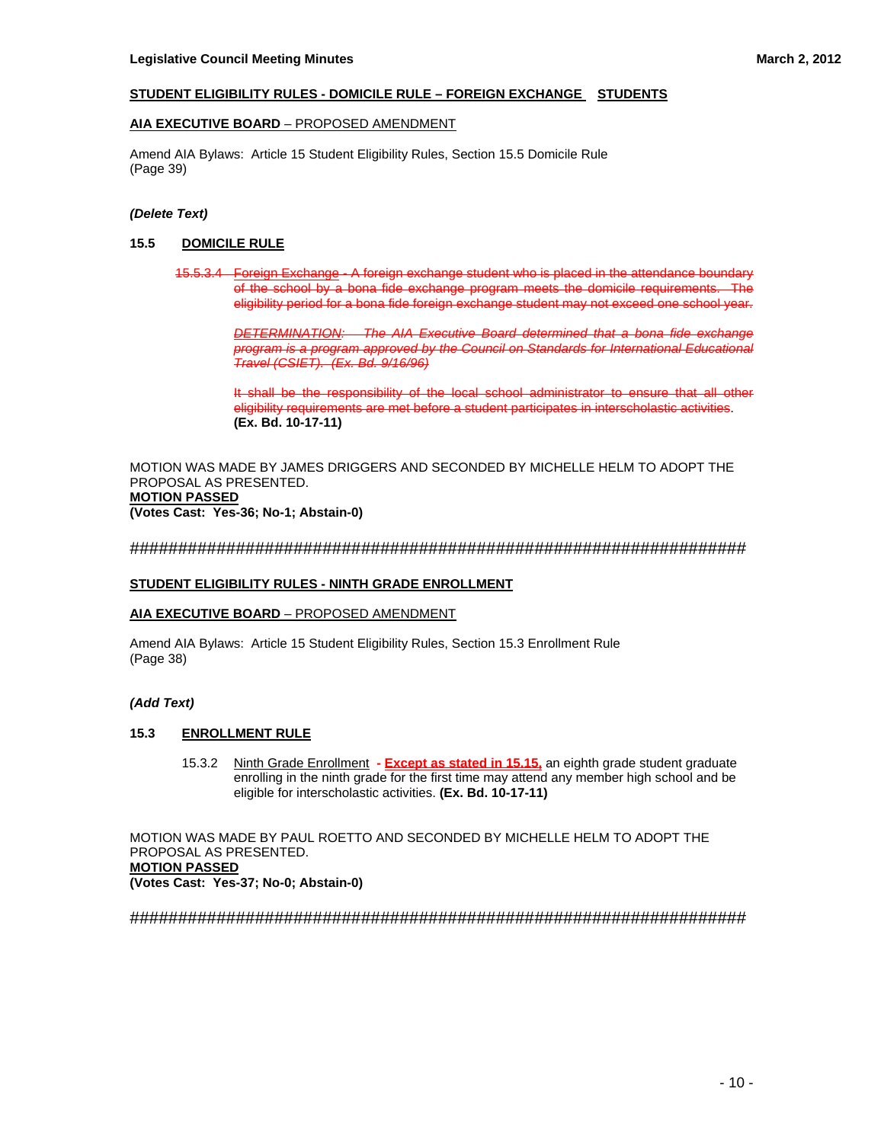## **STUDENT ELIGIBILITY RULES - DOMICILE RULE – FOREIGN EXCHANGE STUDENTS**

## **AIA EXECUTIVE BOARD** – PROPOSED AMENDMENT

Amend AIA Bylaws: Article 15 Student Eligibility Rules, Section 15.5 Domicile Rule (Page 39)

## *(Delete Text)*

## **15.5 DOMICILE RULE**

15.5.3.4 Foreign Exchange - A foreign exchange student who is placed in the attendance boundary of the school by a bona fide exchange program meets the domicile requirements. The eligibility period for a bona fide foreign exchange student may not exceed one school year.

 *DETERMINATION: The AIA Executive Board determined that a bona fide exchange program is a program approved by the Council on Standards for International Educational Travel (CSIET). (Ex. Bd. 9/16/96)*

 It shall be the responsibility of the local school administrator to ensure that all other eligibility requirements are met before a student participates in interscholastic activities.  **(Ex. Bd. 10-17-11)**

MOTION WAS MADE BY JAMES DRIGGERS AND SECONDED BY MICHELLE HELM TO ADOPT THE PROPOSAL AS PRESENTED. **MOTION PASSED** 

**(Votes Cast: Yes-36; No-1; Abstain-0)** 

#### ################################################################

#### **STUDENT ELIGIBILITY RULES - NINTH GRADE ENROLLMENT**

#### **AIA EXECUTIVE BOARD** – PROPOSED AMENDMENT

Amend AIA Bylaws: Article 15 Student Eligibility Rules, Section 15.3 Enrollment Rule (Page 38)

## *(Add Text)*

## **15.3 ENROLLMENT RULE**

 15.3.2 Ninth Grade Enrollment **- Except as stated in 15.15,** an eighth grade student graduate enrolling in the ninth grade for the first time may attend any member high school and be eligible for interscholastic activities. **(Ex. Bd. 10-17-11)**

MOTION WAS MADE BY PAUL ROETTO AND SECONDED BY MICHELLE HELM TO ADOPT THE PROPOSAL AS PRESENTED. **MOTION PASSED (Votes Cast: Yes-37; No-0; Abstain-0)**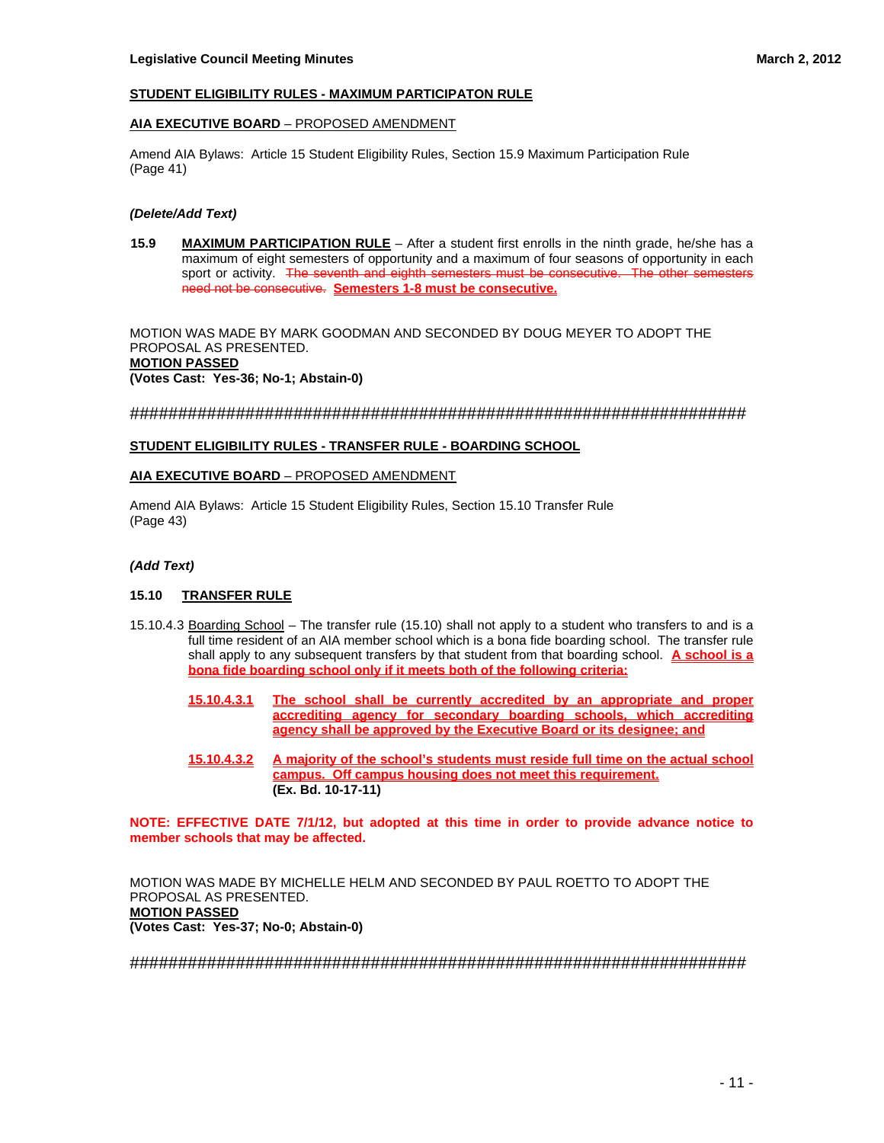## **STUDENT ELIGIBILITY RULES - MAXIMUM PARTICIPATON RULE**

## **AIA EXECUTIVE BOARD** – PROPOSED AMENDMENT

Amend AIA Bylaws: Article 15 Student Eligibility Rules, Section 15.9 Maximum Participation Rule (Page 41)

#### *(Delete/Add Text)*

**15.9 MAXIMUM PARTICIPATION RULE** – After a student first enrolls in the ninth grade, he/she has a maximum of eight semesters of opportunity and a maximum of four seasons of opportunity in each sport or activity. The seventh and eighth semesters must be consecutive. The other semesters need not be consecutive. **Semesters 1-8 must be consecutive.**

MOTION WAS MADE BY MARK GOODMAN AND SECONDED BY DOUG MEYER TO ADOPT THE PROPOSAL AS PRESENTED. **MOTION PASSED (Votes Cast: Yes-36; No-1; Abstain-0)** 

################################################################

#### **STUDENT ELIGIBILITY RULES - TRANSFER RULE - BOARDING SCHOOL**

#### **AIA EXECUTIVE BOARD** – PROPOSED AMENDMENT

Amend AIA Bylaws: Article 15 Student Eligibility Rules, Section 15.10 Transfer Rule (Page 43)

## *(Add Text)*

## **15.10 TRANSFER RULE**

- 15.10.4.3 Boarding School The transfer rule (15.10) shall not apply to a student who transfers to and is a full time resident of an AIA member school which is a bona fide boarding school. The transfer rule shall apply to any subsequent transfers by that student from that boarding school. **A school is a bona fide boarding school only if it meets both of the following criteria:**
	- **15.10.4.3.1 The school shall be currently accredited by an appropriate and proper accrediting agency for secondary boarding schools, which accrediting agency shall be approved by the Executive Board or its designee; and**
	- **15.10.4.3.2 A majority of the school's students must reside full time on the actual school campus. Off campus housing does not meet this requirement. (Ex. Bd. 10-17-11)**

**NOTE: EFFECTIVE DATE 7/1/12, but adopted at this time in order to provide advance notice to member schools that may be affected.**

MOTION WAS MADE BY MICHELLE HELM AND SECONDED BY PAUL ROETTO TO ADOPT THE PROPOSAL AS PRESENTED. **MOTION PASSED (Votes Cast: Yes-37; No-0; Abstain-0)**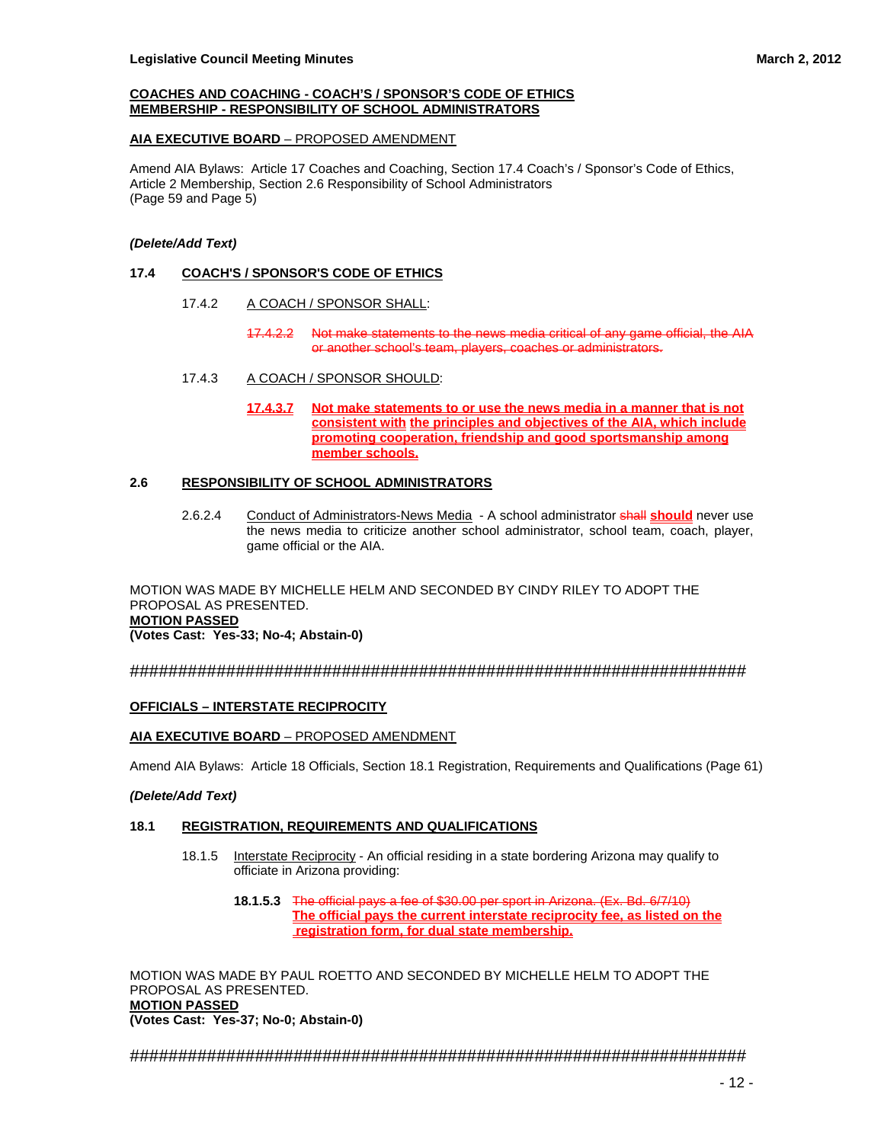#### **COACHES AND COACHING - COACH'S / SPONSOR'S CODE OF ETHICS MEMBERSHIP - RESPONSIBILITY OF SCHOOL ADMINISTRATORS**

## **AIA EXECUTIVE BOARD** – PROPOSED AMENDMENT

Amend AIA Bylaws: Article 17 Coaches and Coaching, Section 17.4 Coach's / Sponsor's Code of Ethics, Article 2 Membership, Section 2.6 Responsibility of School Administrators (Page 59 and Page 5)

## *(Delete/Add Text)*

## **17.4 COACH'S / SPONSOR'S CODE OF ETHICS**

- 17.4.2 A COACH / SPONSOR SHALL:
	- 17.4.2.2 Not make statements to the news media critical of any game official, the AIA or another school's team, players, coaches or administrators.
- 17.4.3 A COACH / SPONSOR SHOULD:
	- **17.4.3.7 Not make statements to or use the news media in a manner that is not consistent with the principles and objectives of the AIA, which include promoting cooperation, friendship and good sportsmanship among member schools.**

## **2.6 RESPONSIBILITY OF SCHOOL ADMINISTRATORS**

 2.6.2.4 Conduct of Administrators-News Media - A school administrator shall **should** never use the news media to criticize another school administrator, school team, coach, player, game official or the AIA.

MOTION WAS MADE BY MICHELLE HELM AND SECONDED BY CINDY RILEY TO ADOPT THE PROPOSAL AS PRESENTED. **MOTION PASSED (Votes Cast: Yes-33; No-4; Abstain-0)** 

################################################################

## **OFFICIALS – INTERSTATE RECIPROCITY**

## **AIA EXECUTIVE BOARD** – PROPOSED AMENDMENT

Amend AIA Bylaws: Article 18 Officials, Section 18.1 Registration, Requirements and Qualifications (Page 61)

## *(Delete/Add Text)*

## **18.1 REGISTRATION, REQUIREMENTS AND QUALIFICATIONS**

- 18.1.5 Interstate Reciprocity An official residing in a state bordering Arizona may qualify to officiate in Arizona providing:
	- **18.1.5.3** The official pays a fee of \$30.00 per sport in Arizona. (Ex. Bd. 6/7/10) **The official pays the current interstate reciprocity fee, as listed on the registration form, for dual state membership.**

MOTION WAS MADE BY PAUL ROETTO AND SECONDED BY MICHELLE HELM TO ADOPT THE PROPOSAL AS PRESENTED. **MOTION PASSED (Votes Cast: Yes-37; No-0; Abstain-0)**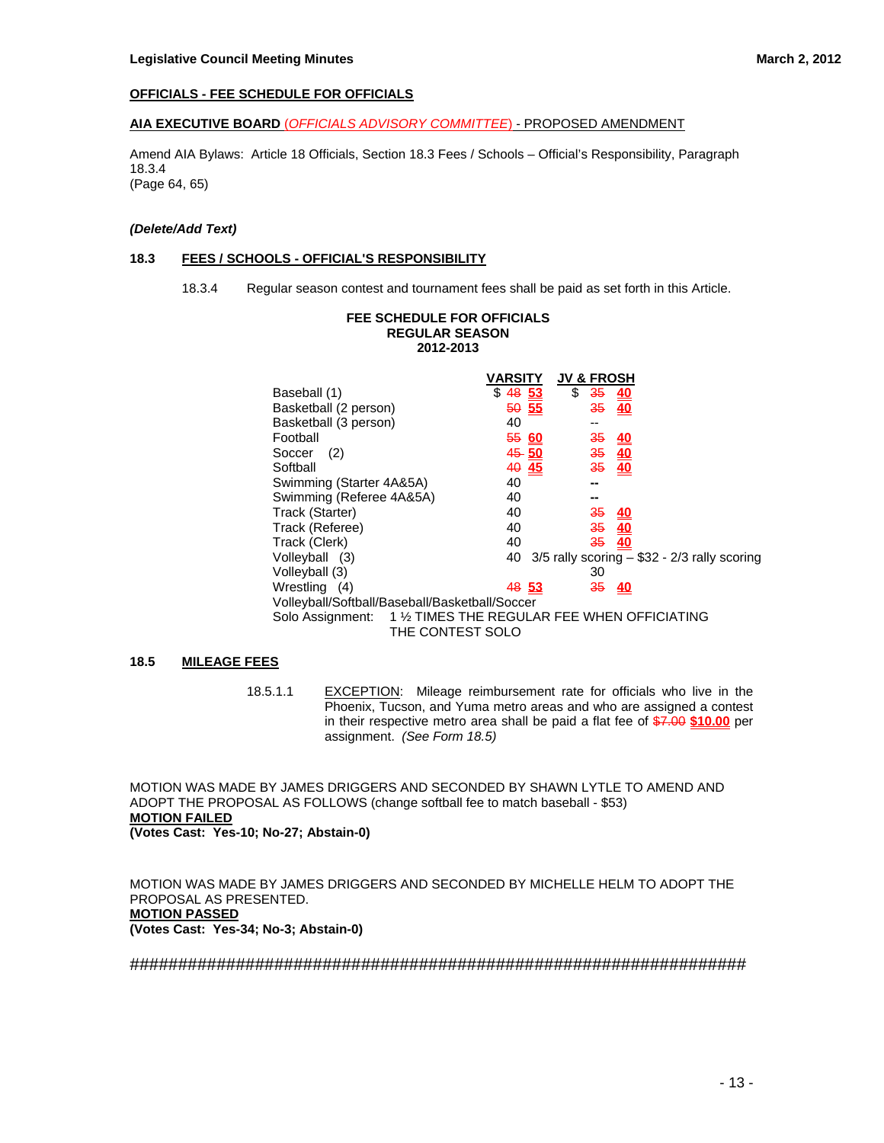## **OFFICIALS - FEE SCHEDULE FOR OFFICIALS**

#### **AIA EXECUTIVE BOARD** (*OFFICIALS ADVISORY COMMITTEE*) - PROPOSED AMENDMENT

Amend AIA Bylaws: Article 18 Officials, Section 18.3 Fees / Schools – Official's Responsibility, Paragraph 18.3.4 (Page 64, 65)

#### *(Delete/Add Text)*

#### **18.3 FEES / SCHOOLS - OFFICIAL'S RESPONSIBILITY**

18.3.4 Regular season contest and tournament fees shall be paid as set forth in this Article.

## **FEE SCHEDULE FOR OFFICIALS REGULAR SEASON 2012-2013**

|                                                | <b>JV &amp; FROSH</b><br>VARSITY                              |
|------------------------------------------------|---------------------------------------------------------------|
| Baseball (1)                                   | \$<br>$$48\frac{53}{ }$<br>$\frac{35}{40}$                    |
| Basketball (2 person)                          | 50 55<br><del>35</del><br>40                                  |
| Basketball (3 person)                          | 40<br>--                                                      |
| Football                                       | 550<br>$\frac{35}{40}$                                        |
| (2)<br>Soccer                                  | $\frac{35}{35}$ $\frac{40}{40}$<br>$45 - 50$                  |
| Softball                                       | 40 45                                                         |
| Swimming (Starter 4A&5A)                       | 40<br>--                                                      |
| Swimming (Referee 4A&5A)                       | 40                                                            |
| Track (Starter)                                | 40<br>$\frac{35}{40}$                                         |
| Track (Referee)                                | $\frac{35}{35}$ $\frac{40}{40}$<br>40                         |
| Track (Clerk)                                  | 40                                                            |
| Volleyball (3)                                 | $3/5$ rally scoring $-$ \$32 - 2/3 rally scoring<br>40        |
| Volleyball (3)                                 | 30                                                            |
| Wrestling (4)                                  | 35<br>48 53<br><u>40</u>                                      |
| Volleyball/Softball/Baseball/Basketball/Soccer |                                                               |
|                                                | Solo Assignment: 1 1/2 TIMES THE REGULAR FEE WHEN OFFICIATING |
|                                                | THE CONTEST SOLO                                              |

## **18.5 MILEAGE FEES**

18.5.1.1 EXCEPTION: Mileage reimbursement rate for officials who live in the Phoenix, Tucson, and Yuma metro areas and who are assigned a contest in their respective metro area shall be paid a flat fee of \$7.00 **\$10.00** per assignment. *(See Form 18.5)*

MOTION WAS MADE BY JAMES DRIGGERS AND SECONDED BY SHAWN LYTLE TO AMEND AND ADOPT THE PROPOSAL AS FOLLOWS (change softball fee to match baseball - \$53) **MOTION FAILED (Votes Cast: Yes-10; No-27; Abstain-0)** 

MOTION WAS MADE BY JAMES DRIGGERS AND SECONDED BY MICHELLE HELM TO ADOPT THE PROPOSAL AS PRESENTED. **MOTION PASSED (Votes Cast: Yes-34; No-3; Abstain-0)**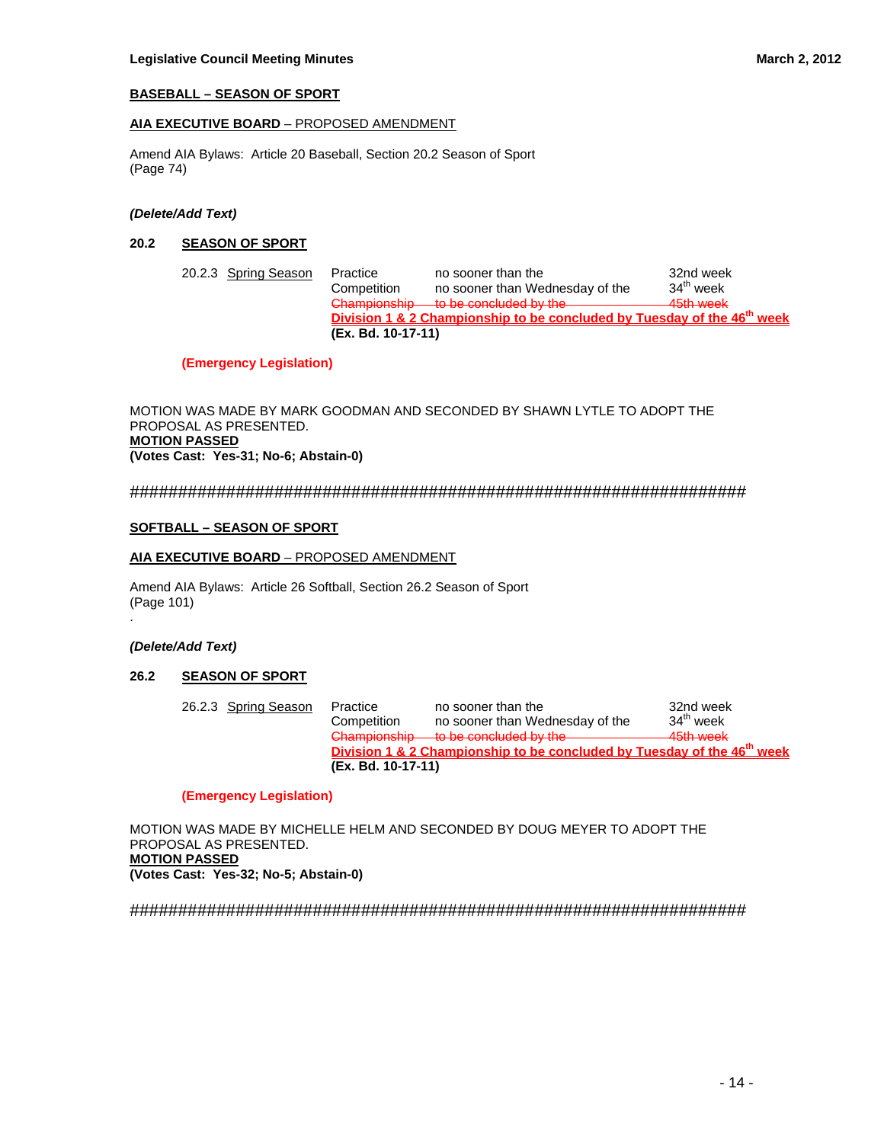## **BASEBALL – SEASON OF SPORT**

## **AIA EXECUTIVE BOARD** – PROPOSED AMENDMENT

Amend AIA Bylaws: Article 20 Baseball, Section 20.2 Season of Sport (Page 74)

## *(Delete/Add Text)*

## **20.2 SEASON OF SPORT**

| 20.2.3 Spring Season | Practice<br>Competition | no sooner than the<br>no sooner than Wednesday of the                               | 32nd week<br>34 <sup>th</sup> week |
|----------------------|-------------------------|-------------------------------------------------------------------------------------|------------------------------------|
|                      |                         | Championship to be concluded by the                                                 | 45th week                          |
|                      |                         | Division 1 & 2 Championship to be concluded by Tuesday of the 46 <sup>th</sup> week |                                    |
|                      | (Ex. Bd. 10-17-11)      |                                                                                     |                                    |

## **(Emergency Legislation)**

MOTION WAS MADE BY MARK GOODMAN AND SECONDED BY SHAWN LYTLE TO ADOPT THE PROPOSAL AS PRESENTED. **MOTION PASSED (Votes Cast: Yes-31; No-6; Abstain-0)** 

## ################################################################

## **SOFTBALL – SEASON OF SPORT**

## **AIA EXECUTIVE BOARD** – PROPOSED AMENDMENT

Amend AIA Bylaws: Article 26 Softball, Section 26.2 Season of Sport (Page 101)

#### *(Delete/Add Text)*

.

## **26.2 SEASON OF SPORT**

| 26.2.3 Spring Season | Practice                                    | no sooner than the                                                                  | 32nd week   |
|----------------------|---------------------------------------------|-------------------------------------------------------------------------------------|-------------|
|                      | Competition                                 | no sooner than Wednesday of the                                                     | $34th$ week |
|                      | Chamnionehin<br><del>טוווסווטושווטווט</del> | to be concluded by the                                                              | 45th week   |
|                      |                                             | Division 1 & 2 Championship to be concluded by Tuesday of the 46 <sup>th</sup> week |             |
|                      | (Ex. Bd. 10-17-11)                          |                                                                                     |             |

#### **(Emergency Legislation)**

MOTION WAS MADE BY MICHELLE HELM AND SECONDED BY DOUG MEYER TO ADOPT THE PROPOSAL AS PRESENTED. **MOTION PASSED (Votes Cast: Yes-32; No-5; Abstain-0)**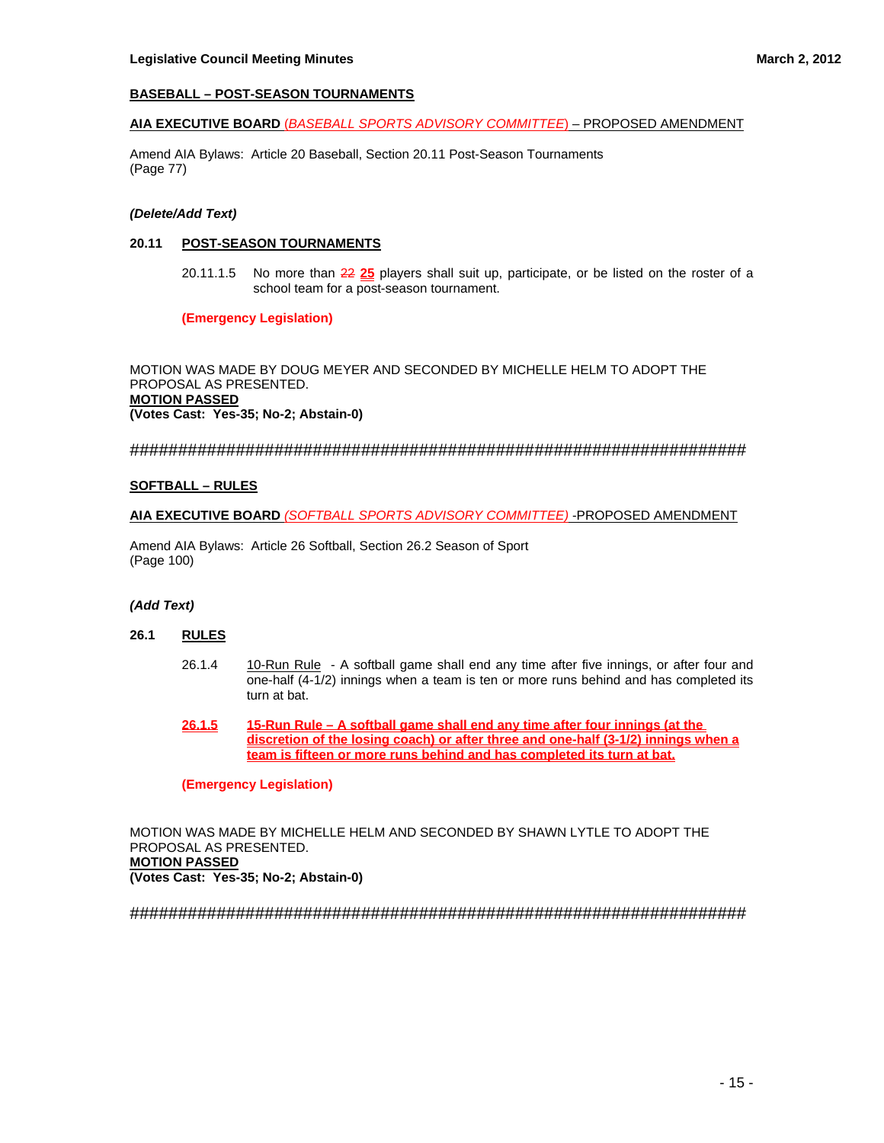## **BASEBALL – POST-SEASON TOURNAMENTS**

#### **AIA EXECUTIVE BOARD** (*BASEBALL SPORTS ADVISORY COMMITTEE*) – PROPOSED AMENDMENT

Amend AIA Bylaws: Article 20 Baseball, Section 20.11 Post-Season Tournaments (Page 77)

## *(Delete/Add Text)*

## **20.11 POST-SEASON TOURNAMENTS**

 20.11.1.5 No more than 22 **25** players shall suit up, participate, or be listed on the roster of a school team for a post-season tournament.

**(Emergency Legislation)** 

MOTION WAS MADE BY DOUG MEYER AND SECONDED BY MICHELLE HELM TO ADOPT THE PROPOSAL AS PRESENTED. **MOTION PASSED (Votes Cast: Yes-35; No-2; Abstain-0)** 

#### ################################################################

#### **SOFTBALL – RULES**

#### **AIA EXECUTIVE BOARD** *(SOFTBALL SPORTS ADVISORY COMMITTEE)* -PROPOSED AMENDMENT

Amend AIA Bylaws: Article 26 Softball, Section 26.2 Season of Sport (Page 100)

#### *(Add Text)*

## **26.1 RULES**

- 26.1.4 10-Run Rule A softball game shall end any time after five innings, or after four and one-half (4-1/2) innings when a team is ten or more runs behind and has completed its turn at bat.
- **26.1.5 15-Run Rule A softball game shall end any time after four innings (at the discretion of the losing coach) or after three and one-half (3-1/2) innings when a team is fifteen or more runs behind and has completed its turn at bat.**

#### **(Emergency Legislation)**

MOTION WAS MADE BY MICHELLE HELM AND SECONDED BY SHAWN LYTLE TO ADOPT THE PROPOSAL AS PRESENTED. **MOTION PASSED (Votes Cast: Yes-35; No-2; Abstain-0)**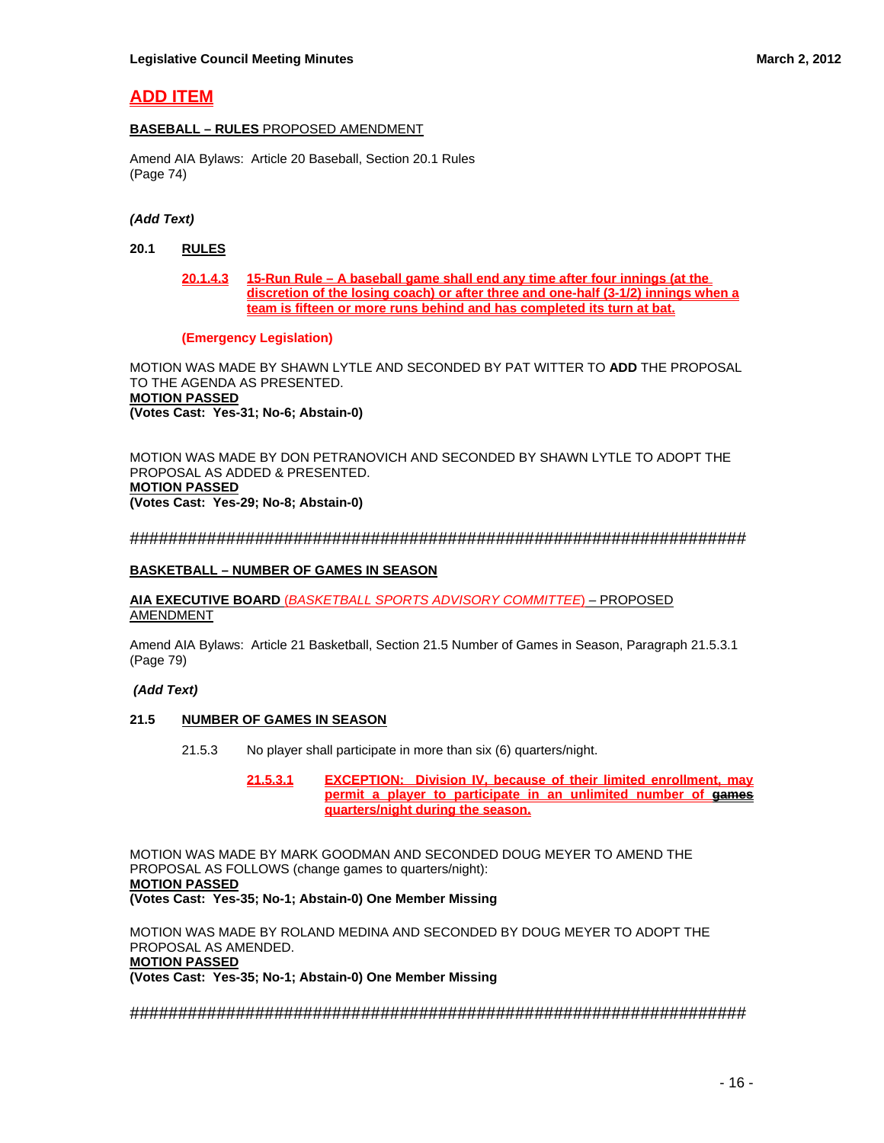# **ADD ITEM**

## **BASEBALL – RULES** PROPOSED AMENDMENT

Amend AIA Bylaws: Article 20 Baseball, Section 20.1 Rules (Page 74)

## *(Add Text)*

- **20.1 RULES**
	- **20.1.4.3 15-Run Rule A baseball game shall end any time after four innings (at the discretion of the losing coach) or after three and one-half (3-1/2) innings when a team is fifteen or more runs behind and has completed its turn at bat.**

## **(Emergency Legislation)**

MOTION WAS MADE BY SHAWN LYTLE AND SECONDED BY PAT WITTER TO **ADD** THE PROPOSAL TO THE AGENDA AS PRESENTED. **MOTION PASSED (Votes Cast: Yes-31; No-6; Abstain-0)** 

MOTION WAS MADE BY DON PETRANOVICH AND SECONDED BY SHAWN LYTLE TO ADOPT THE PROPOSAL AS ADDED & PRESENTED. **MOTION PASSED (Votes Cast: Yes-29; No-8; Abstain-0)** 

################################################################

## **BASKETBALL – NUMBER OF GAMES IN SEASON**

**AIA EXECUTIVE BOARD** (*BASKETBALL SPORTS ADVISORY COMMITTEE*) – PROPOSED AMENDMENT

Amend AIA Bylaws: Article 21 Basketball, Section 21.5 Number of Games in Season, Paragraph 21.5.3.1 (Page 79)

## *(Add Text)*

## **21.5 NUMBER OF GAMES IN SEASON**

- 21.5.3 No player shall participate in more than six (6) quarters/night.
	- **21.5.3.1 EXCEPTION: Division IV, because of their limited enrollment, may permit a player to participate in an unlimited number of games quarters/night during the season.**

MOTION WAS MADE BY MARK GOODMAN AND SECONDED DOUG MEYER TO AMEND THE PROPOSAL AS FOLLOWS (change games to quarters/night): **MOTION PASSED (Votes Cast: Yes-35; No-1; Abstain-0) One Member Missing** 

MOTION WAS MADE BY ROLAND MEDINA AND SECONDED BY DOUG MEYER TO ADOPT THE PROPOSAL AS AMENDED. **MOTION PASSED (Votes Cast: Yes-35; No-1; Abstain-0) One Member Missing**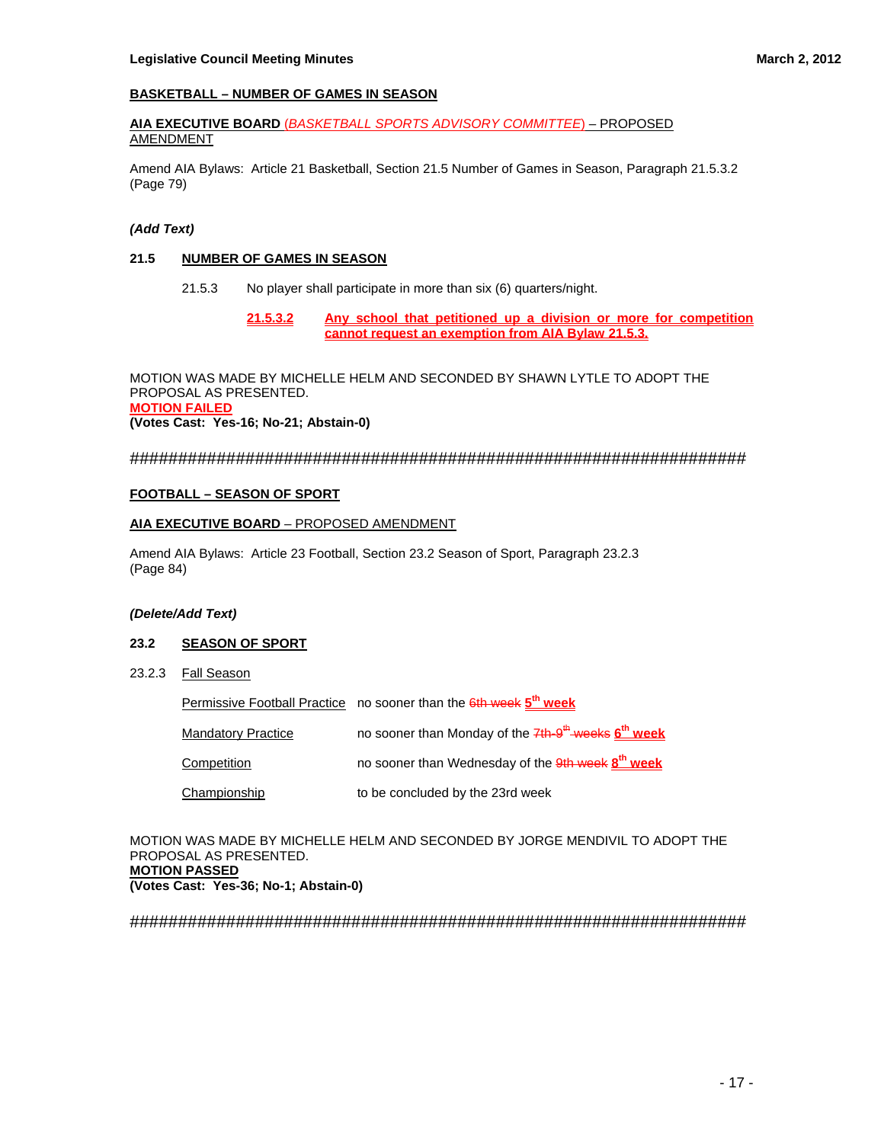## **BASKETBALL – NUMBER OF GAMES IN SEASON**

#### **AIA EXECUTIVE BOARD** (*BASKETBALL SPORTS ADVISORY COMMITTEE*) – PROPOSED AMENDMENT

Amend AIA Bylaws: Article 21 Basketball, Section 21.5 Number of Games in Season, Paragraph 21.5.3.2 (Page 79)

## *(Add Text)*

## **21.5 NUMBER OF GAMES IN SEASON**

- 21.5.3 No player shall participate in more than six (6) quarters/night.
	- **21.5.3.2 Any school that petitioned up a division or more for competition cannot request an exemption from AIA Bylaw 21.5.3.**

MOTION WAS MADE BY MICHELLE HELM AND SECONDED BY SHAWN LYTLE TO ADOPT THE PROPOSAL AS PRESENTED. **MOTION FAILED (Votes Cast: Yes-16; No-21; Abstain-0)** 

## ################################################################

## **FOOTBALL – SEASON OF SPORT**

## **AIA EXECUTIVE BOARD** – PROPOSED AMENDMENT

Amend AIA Bylaws: Article 23 Football, Section 23.2 Season of Sport, Paragraph 23.2.3 (Page 84)

#### *(Delete/Add Text)*

## **23.2 SEASON OF SPORT**

23.2.3 Fall Season

Permissive Football Practice no sooner than the 6th week **5th week** 

| <b>Mandatory Practice</b> | no sooner than Monday of the 7th-9 <sup>th</sup> -weeks 6 <sup>th</sup> week |
|---------------------------|------------------------------------------------------------------------------|
| Competition               | no sooner than Wednesday of the 9th week 8 <sup>th</sup> week                |
| Championship              | to be concluded by the 23rd week                                             |

MOTION WAS MADE BY MICHELLE HELM AND SECONDED BY JORGE MENDIVIL TO ADOPT THE PROPOSAL AS PRESENTED. **MOTION PASSED (Votes Cast: Yes-36; No-1; Abstain-0)**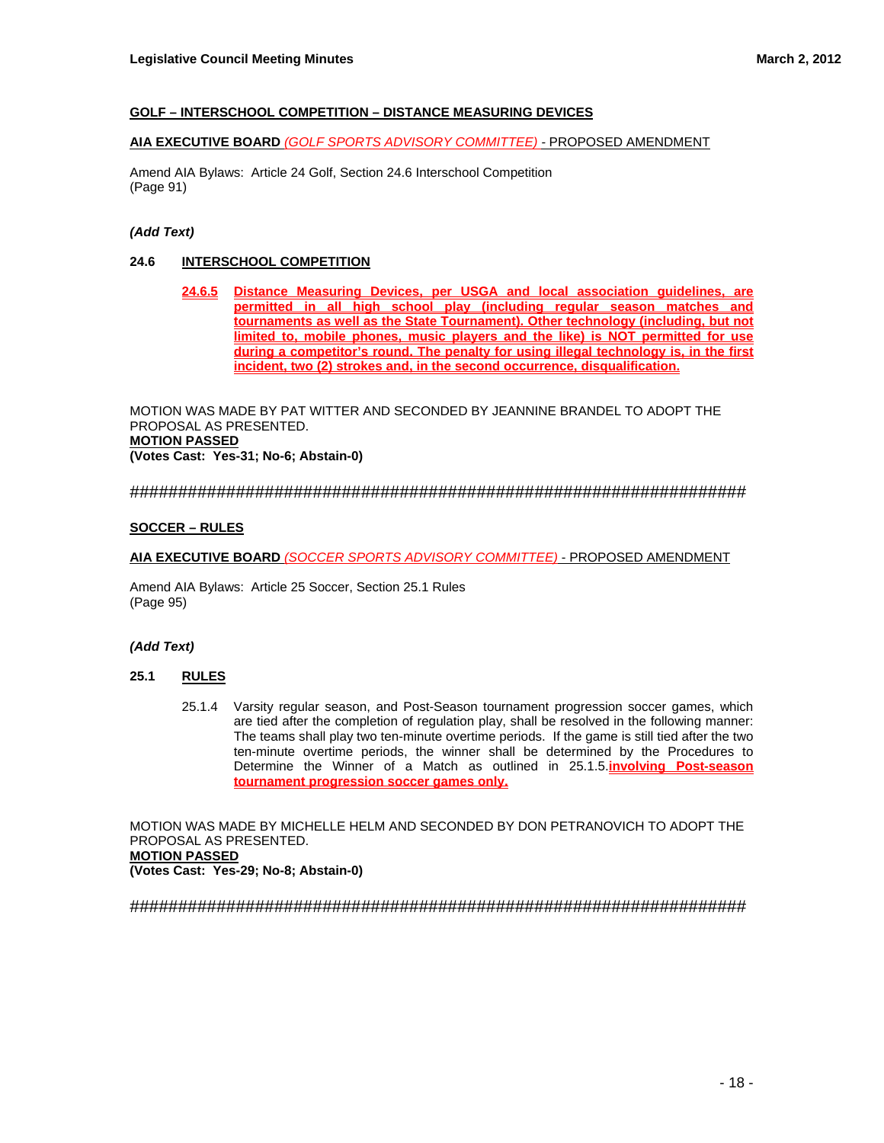## **GOLF – INTERSCHOOL COMPETITION – DISTANCE MEASURING DEVICES**

## **AIA EXECUTIVE BOARD** *(GOLF SPORTS ADVISORY COMMITTEE) -* PROPOSED AMENDMENT

Amend AIA Bylaws: Article 24 Golf, Section 24.6 Interschool Competition (Page 91)

## *(Add Text)*

## **24.6 INTERSCHOOL COMPETITION**

**24.6.5 Distance Measuring Devices, per USGA and local association guidelines, are permitted in all high school play (including regular season matches and tournaments as well as the State Tournament). Other technology (including, but not limited to, mobile phones, music players and the like) is NOT permitted for use during a competitor's round. The penalty for using illegal technology is, in the first incident, two (2) strokes and, in the second occurrence, disqualification.** 

MOTION WAS MADE BY PAT WITTER AND SECONDED BY JEANNINE BRANDEL TO ADOPT THE PROPOSAL AS PRESENTED. **MOTION PASSED (Votes Cast: Yes-31; No-6; Abstain-0)** 

################################################################

## **SOCCER – RULES**

## **AIA EXECUTIVE BOARD** *(SOCCER SPORTS ADVISORY COMMITTEE)* - PROPOSED AMENDMENT

Amend AIA Bylaws: Article 25 Soccer, Section 25.1 Rules (Page 95)

## *(Add Text)*

## **25.1 RULES**

 25.1.4 Varsity regular season, and Post-Season tournament progression soccer games, which are tied after the completion of regulation play, shall be resolved in the following manner: The teams shall play two ten-minute overtime periods. If the game is still tied after the two ten-minute overtime periods, the winner shall be determined by the Procedures to Determine the Winner of a Match as outlined in 25.1.5.**involving Post-season tournament progression soccer games only.**

MOTION WAS MADE BY MICHELLE HELM AND SECONDED BY DON PETRANOVICH TO ADOPT THE PROPOSAL AS PRESENTED. **MOTION PASSED (Votes Cast: Yes-29; No-8; Abstain-0)**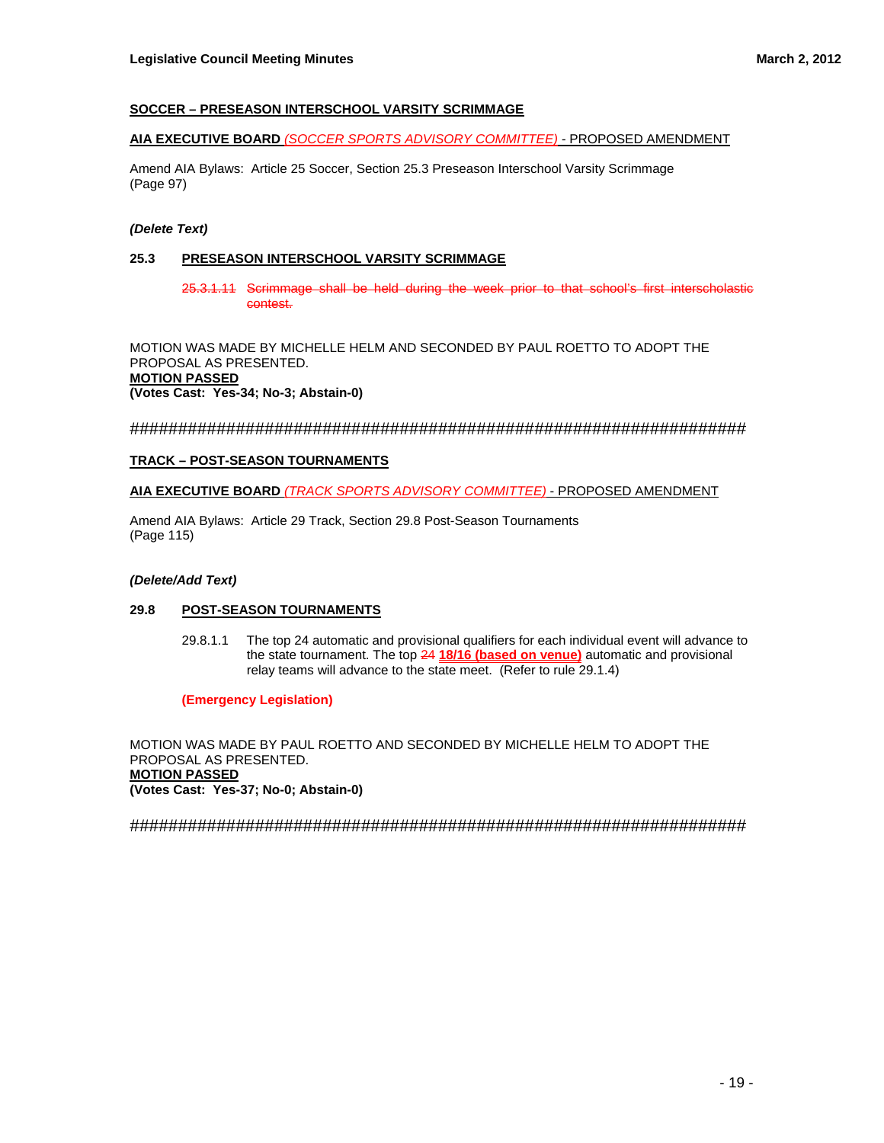## **SOCCER – PRESEASON INTERSCHOOL VARSITY SCRIMMAGE**

## **AIA EXECUTIVE BOARD** *(SOCCER SPORTS ADVISORY COMMITTEE) -* PROPOSED AMENDMENT

Amend AIA Bylaws: Article 25 Soccer, Section 25.3 Preseason Interschool Varsity Scrimmage (Page 97)

## *(Delete Text)*

## **25.3 PRESEASON INTERSCHOOL VARSITY SCRIMMAGE**

25.3.1.11 Scrimmage shall be held during the week prior to that school's first interscholastic contest.

MOTION WAS MADE BY MICHELLE HELM AND SECONDED BY PAUL ROETTO TO ADOPT THE PROPOSAL AS PRESENTED. **MOTION PASSED (Votes Cast: Yes-34; No-3; Abstain-0)** 

################################################################

## **TRACK – POST-SEASON TOURNAMENTS**

**AIA EXECUTIVE BOARD** *(TRACK SPORTS ADVISORY COMMITTEE)* - PROPOSED AMENDMENT

Amend AIA Bylaws: Article 29 Track, Section 29.8 Post-Season Tournaments (Page 115)

#### *(Delete/Add Text)*

## **29.8 POST-SEASON TOURNAMENTS**

29.8.1.1 The top 24 automatic and provisional qualifiers for each individual event will advance to the state tournament. The top 24 **18/16 (based on venue)** automatic and provisional relay teams will advance to the state meet. (Refer to rule 29.1.4)

**(Emergency Legislation)** 

MOTION WAS MADE BY PAUL ROETTO AND SECONDED BY MICHELLE HELM TO ADOPT THE PROPOSAL AS PRESENTED. **MOTION PASSED (Votes Cast: Yes-37; No-0; Abstain-0)**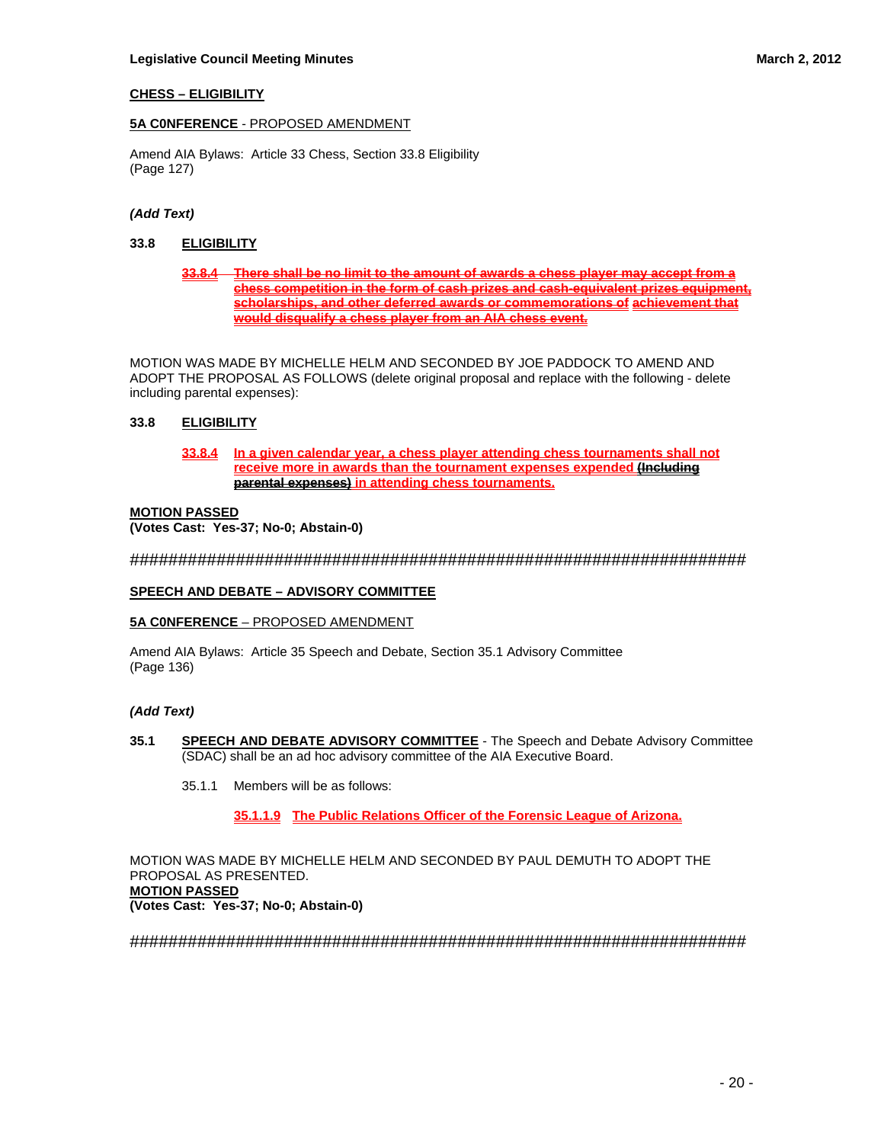## **CHESS – ELIGIBILITY**

## **5A C0NFERENCE** - PROPOSED AMENDMENT

Amend AIA Bylaws: Article 33 Chess, Section 33.8 Eligibility (Page 127)

## *(Add Text)*

## **33.8 ELIGIBILITY**

**33.8.4 There shall be no limit to the amount of awards a chess player may accept from a chess competition in the form of cash prizes and cash-equivalent prizes equipment, scholarships, and other deferred awards or commemorations of achievement that would disqualify a chess player from an AIA chess event.**

MOTION WAS MADE BY MICHELLE HELM AND SECONDED BY JOE PADDOCK TO AMEND AND ADOPT THE PROPOSAL AS FOLLOWS (delete original proposal and replace with the following - delete including parental expenses):

## **33.8 ELIGIBILITY**

**33.8.4 In a given calendar year, a chess player attending chess tournaments shall not receive more in awards than the tournament expenses expended (Including parental expenses) in attending chess tournaments.**

## **MOTION PASSED**

**(Votes Cast: Yes-37; No-0; Abstain-0)** 

################################################################

## **SPEECH AND DEBATE – ADVISORY COMMITTEE**

#### **5A C0NFERENCE** – PROPOSED AMENDMENT

Amend AIA Bylaws: Article 35 Speech and Debate, Section 35.1 Advisory Committee (Page 136)

## *(Add Text)*

- **35.1 SPEECH AND DEBATE ADVISORY COMMITTEE** The Speech and Debate Advisory Committee (SDAC) shall be an ad hoc advisory committee of the AIA Executive Board.
	- 35.1.1 Members will be as follows:

**35.1.1.9 The Public Relations Officer of the Forensic League of Arizona.**

MOTION WAS MADE BY MICHELLE HELM AND SECONDED BY PAUL DEMUTH TO ADOPT THE PROPOSAL AS PRESENTED. **MOTION PASSED (Votes Cast: Yes-37; No-0; Abstain-0)**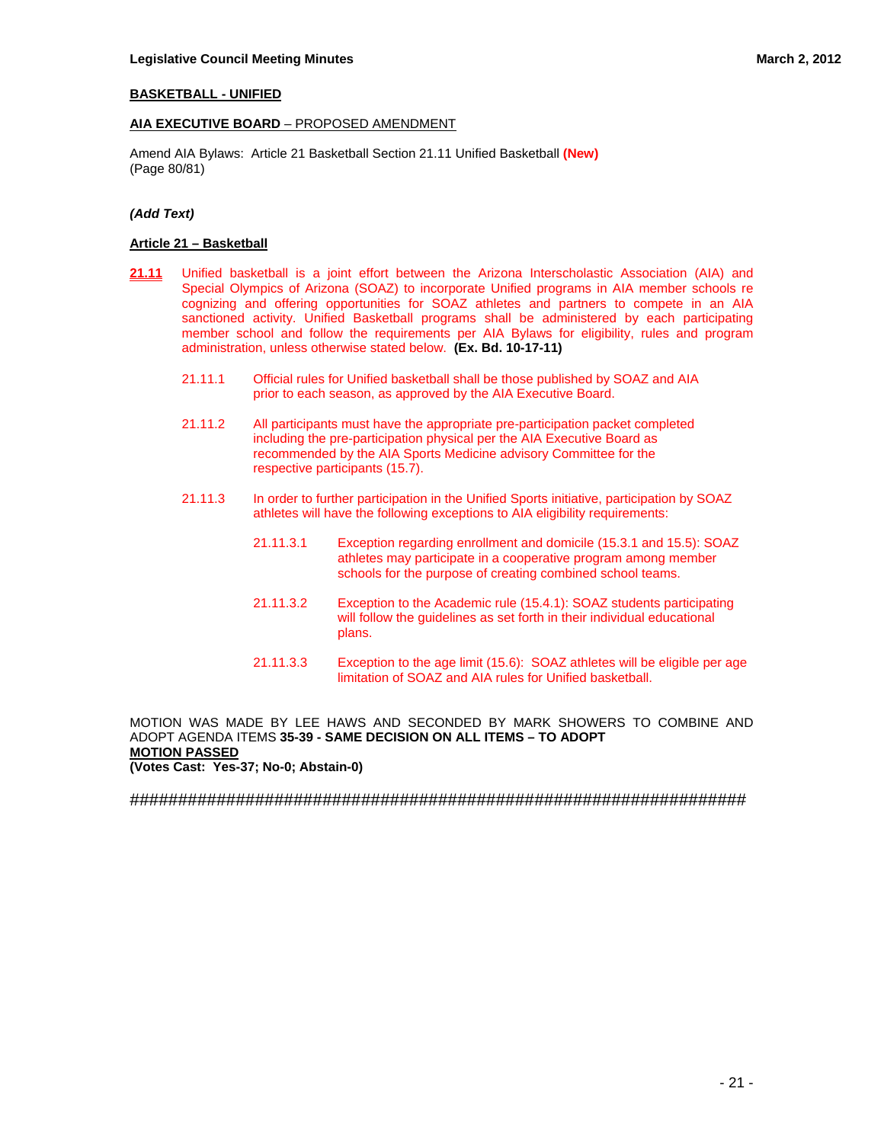## **BASKETBALL - UNIFIED**

## **AIA EXECUTIVE BOARD** – PROPOSED AMENDMENT

Amend AIA Bylaws: Article 21 Basketball Section 21.11 Unified Basketball **(New)** (Page 80/81)

## *(Add Text)*

#### **Article 21 – Basketball**

- **21.11** Unified basketball is a joint effort between the Arizona Interscholastic Association (AIA) and Special Olympics of Arizona (SOAZ) to incorporate Unified programs in AIA member schools re cognizing and offering opportunities for SOAZ athletes and partners to compete in an AIA sanctioned activity. Unified Basketball programs shall be administered by each participating member school and follow the requirements per AIA Bylaws for eligibility, rules and program administration, unless otherwise stated below. **(Ex. Bd. 10-17-11)**
	- 21.11.1 Official rules for Unified basketball shall be those published by SOAZ and AIA prior to each season, as approved by the AIA Executive Board.
	- 21.11.2 All participants must have the appropriate pre-participation packet completed including the pre-participation physical per the AIA Executive Board as recommended by the AIA Sports Medicine advisory Committee for the respective participants (15.7).
	- 21.11.3 In order to further participation in the Unified Sports initiative, participation by SOAZ athletes will have the following exceptions to AIA eligibility requirements:
		- 21.11.3.1 Exception regarding enrollment and domicile (15.3.1 and 15.5): SOAZ athletes may participate in a cooperative program among member schools for the purpose of creating combined school teams.
		- 21.11.3.2 Exception to the Academic rule (15.4.1): SOAZ students participating will follow the guidelines as set forth in their individual educational plans.
		- 21.11.3.3 Exception to the age limit (15.6): SOAZ athletes will be eligible per age limitation of SOAZ and AIA rules for Unified basketball.

MOTION WAS MADE BY LEE HAWS AND SECONDED BY MARK SHOWERS TO COMBINE AND ADOPT AGENDA ITEMS **35-39 - SAME DECISION ON ALL ITEMS – TO ADOPT MOTION PASSED (Votes Cast: Yes-37; No-0; Abstain-0)**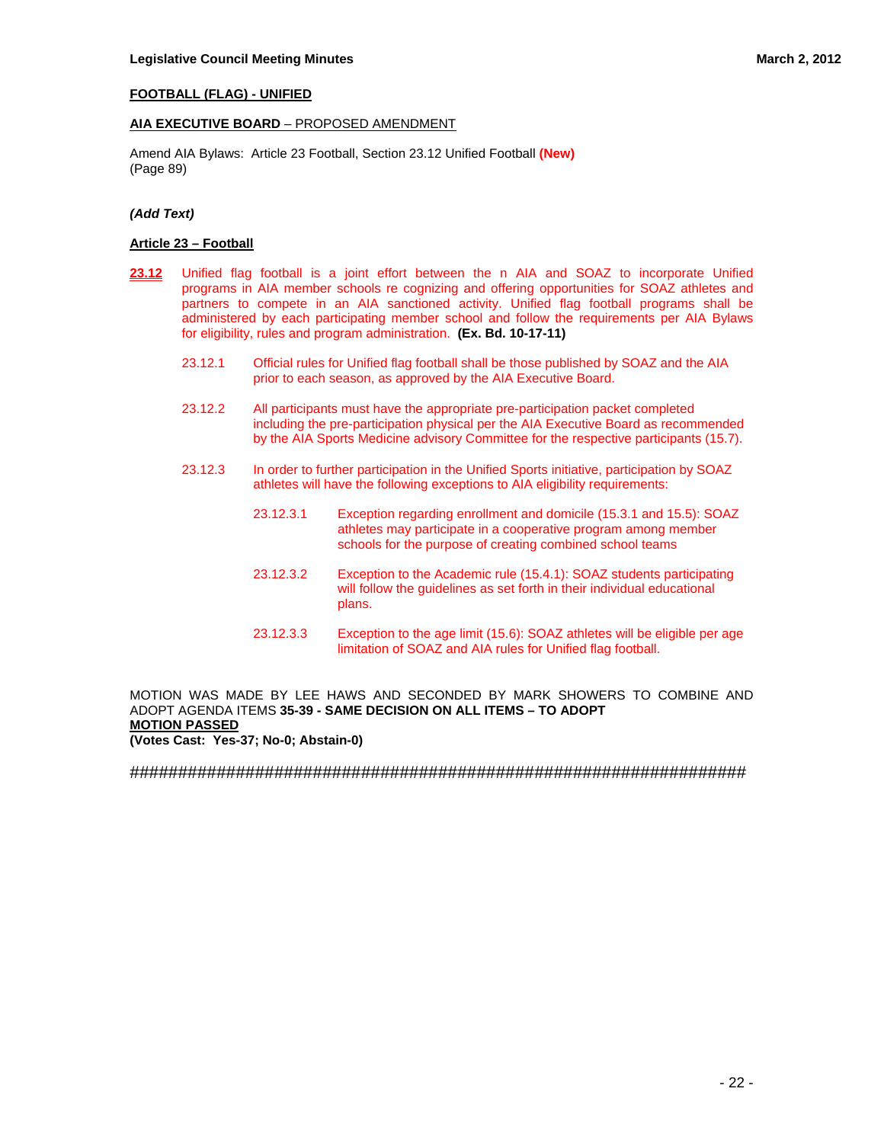## **FOOTBALL (FLAG) - UNIFIED**

## **AIA EXECUTIVE BOARD** – PROPOSED AMENDMENT

Amend AIA Bylaws: Article 23 Football, Section 23.12 Unified Football **(New)** (Page 89)

#### *(Add Text)*

#### **Article 23 – Football**

- 23.12 Unified flag football is a joint effort between the n AIA and SOAZ to incorporate Unified programs in AIA member schools re cognizing and offering opportunities for SOAZ athletes and partners to compete in an AIA sanctioned activity. Unified flag football programs shall be administered by each participating member school and follow the requirements per AIA Bylaws for eligibility, rules and program administration. **(Ex. Bd. 10-17-11)**
	- 23.12.1 Official rules for Unified flag football shall be those published by SOAZ and the AIA prior to each season, as approved by the AIA Executive Board.
	- 23.12.2 All participants must have the appropriate pre-participation packet completed including the pre-participation physical per the AIA Executive Board as recommended by the AIA Sports Medicine advisory Committee for the respective participants (15.7).
	- 23.12.3 In order to further participation in the Unified Sports initiative, participation by SOAZ athletes will have the following exceptions to AIA eligibility requirements:
		- 23.12.3.1 Exception regarding enrollment and domicile (15.3.1 and 15.5): SOAZ athletes may participate in a cooperative program among member schools for the purpose of creating combined school teams
		- 23.12.3.2 Exception to the Academic rule (15.4.1): SOAZ students participating will follow the guidelines as set forth in their individual educational plans.
		- 23.12.3.3 Exception to the age limit (15.6): SOAZ athletes will be eligible per age limitation of SOAZ and AIA rules for Unified flag football.

MOTION WAS MADE BY LEE HAWS AND SECONDED BY MARK SHOWERS TO COMBINE AND ADOPT AGENDA ITEMS **35-39 - SAME DECISION ON ALL ITEMS – TO ADOPT MOTION PASSED (Votes Cast: Yes-37; No-0; Abstain-0)**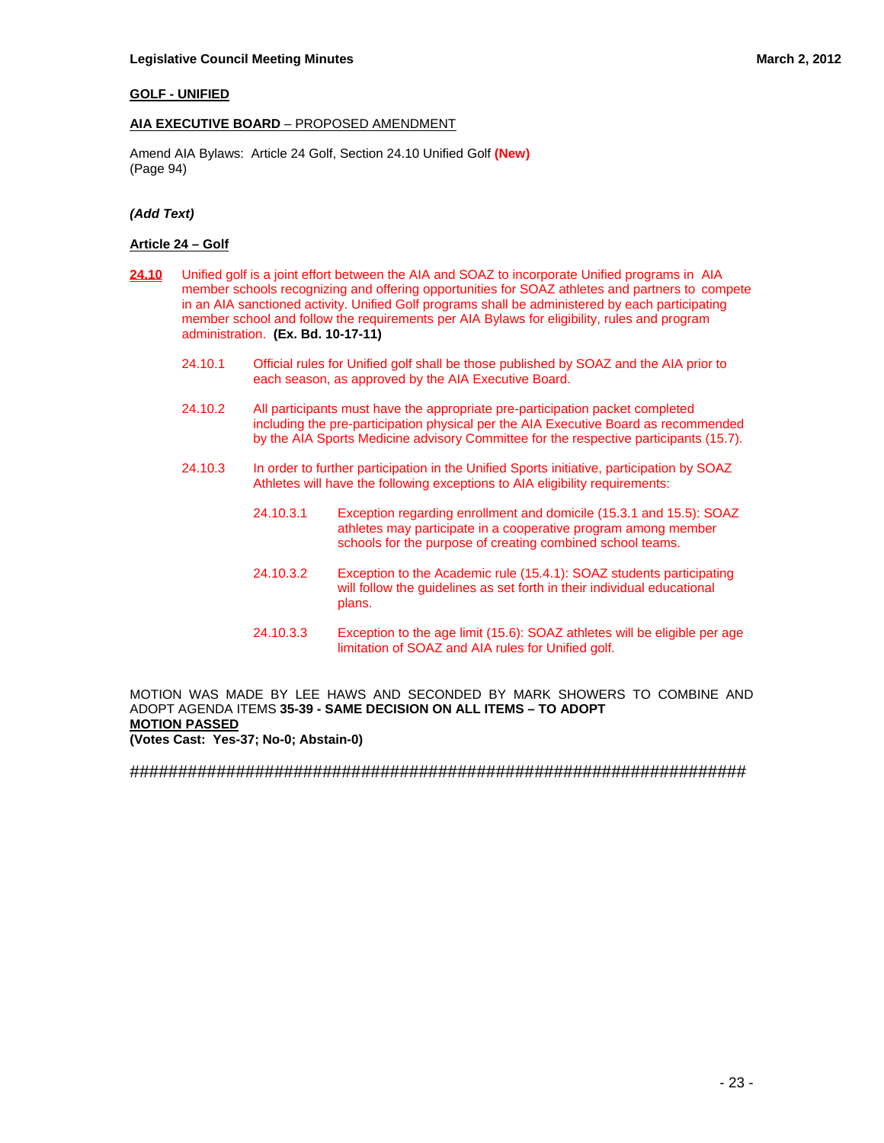## **GOLF - UNIFIED**

## **AIA EXECUTIVE BOARD** – PROPOSED AMENDMENT

Amend AIA Bylaws: Article 24 Golf, Section 24.10 Unified Golf **(New)** (Page 94)

## *(Add Text)*

#### **Article 24 – Golf**

- **24.10** Unified golf is a joint effort between the AIA and SOAZ to incorporate Unified programs in AIA member schools recognizing and offering opportunities for SOAZ athletes and partners to compete in an AIA sanctioned activity. Unified Golf programs shall be administered by each participating member school and follow the requirements per AIA Bylaws for eligibility, rules and program administration. **(Ex. Bd. 10-17-11)**
	- 24.10.1 Official rules for Unified golf shall be those published by SOAZ and the AIA prior to each season, as approved by the AIA Executive Board.
	- 24.10.2 All participants must have the appropriate pre-participation packet completed including the pre-participation physical per the AIA Executive Board as recommended by the AIA Sports Medicine advisory Committee for the respective participants (15.7).
	- 24.10.3 In order to further participation in the Unified Sports initiative, participation by SOAZ Athletes will have the following exceptions to AIA eligibility requirements:
		- 24.10.3.1 Exception regarding enrollment and domicile (15.3.1 and 15.5): SOAZ athletes may participate in a cooperative program among member schools for the purpose of creating combined school teams.
		- 24.10.3.2 Exception to the Academic rule (15.4.1): SOAZ students participating will follow the guidelines as set forth in their individual educational plans.
		- 24.10.3.3 Exception to the age limit (15.6): SOAZ athletes will be eligible per age limitation of SOAZ and AIA rules for Unified golf.

MOTION WAS MADE BY LEE HAWS AND SECONDED BY MARK SHOWERS TO COMBINE AND ADOPT AGENDA ITEMS **35-39 - SAME DECISION ON ALL ITEMS – TO ADOPT MOTION PASSED** 

**(Votes Cast: Yes-37; No-0; Abstain-0)**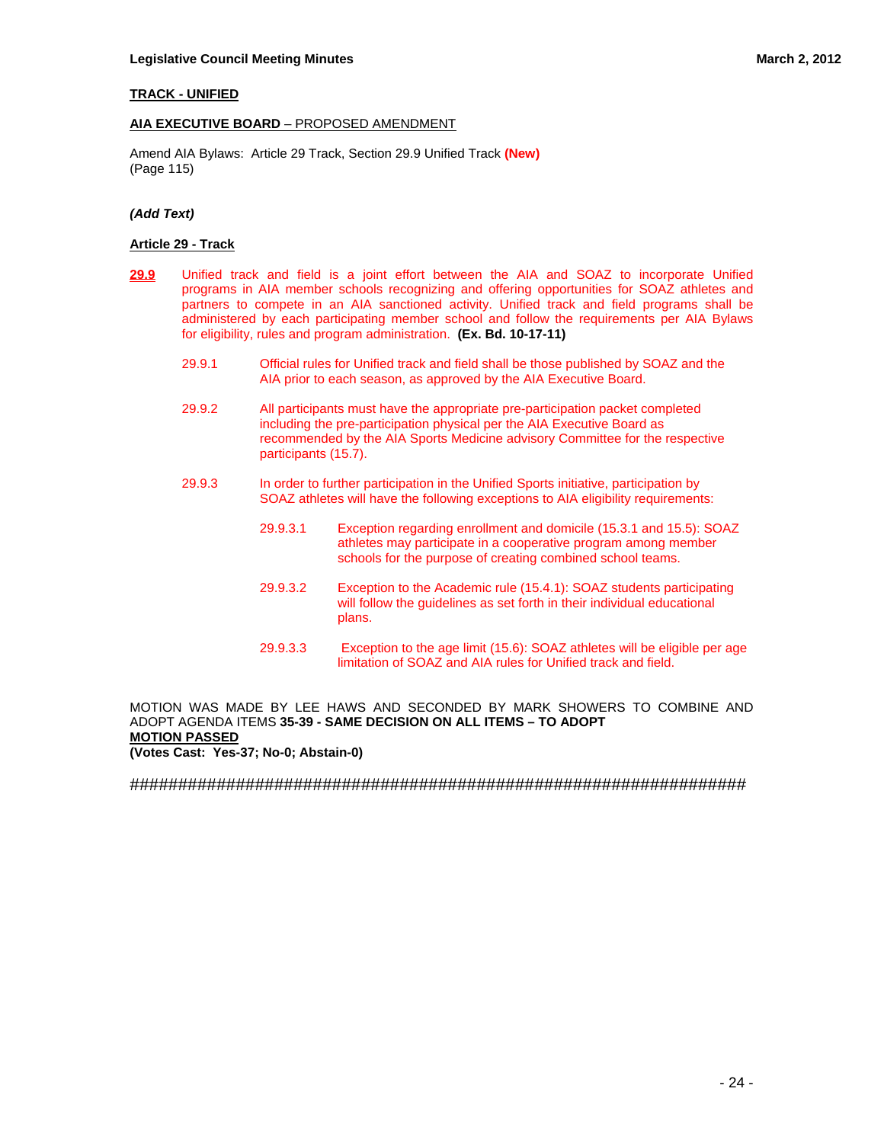## **TRACK - UNIFIED**

## **AIA EXECUTIVE BOARD** – PROPOSED AMENDMENT

Amend AIA Bylaws: Article 29 Track, Section 29.9 Unified Track **(New)** (Page 115)

#### *(Add Text)*

#### **Article 29 - Track**

- **29.9** Unified track and field is a joint effort between the AIA and SOAZ to incorporate Unified programs in AIA member schools recognizing and offering opportunities for SOAZ athletes and partners to compete in an AIA sanctioned activity. Unified track and field programs shall be administered by each participating member school and follow the requirements per AIA Bylaws for eligibility, rules and program administration. **(Ex. Bd. 10-17-11)**
	- 29.9.1 Official rules for Unified track and field shall be those published by SOAZ and the AIA prior to each season, as approved by the AIA Executive Board.
	- 29.9.2 All participants must have the appropriate pre-participation packet completed including the pre-participation physical per the AIA Executive Board as recommended by the AIA Sports Medicine advisory Committee for the respective participants (15.7).
	- 29.9.3 In order to further participation in the Unified Sports initiative, participation by SOAZ athletes will have the following exceptions to AIA eligibility requirements:
		- 29.9.3.1 Exception regarding enrollment and domicile (15.3.1 and 15.5): SOAZ athletes may participate in a cooperative program among member schools for the purpose of creating combined school teams.
		- 29.9.3.2 Exception to the Academic rule (15.4.1): SOAZ students participating will follow the guidelines as set forth in their individual educational plans.
		- 29.9.3.3 Exception to the age limit (15.6): SOAZ athletes will be eligible per age limitation of SOAZ and AIA rules for Unified track and field.

MOTION WAS MADE BY LEE HAWS AND SECONDED BY MARK SHOWERS TO COMBINE AND ADOPT AGENDA ITEMS **35-39 - SAME DECISION ON ALL ITEMS – TO ADOPT MOTION PASSED** 

**(Votes Cast: Yes-37; No-0; Abstain-0)**